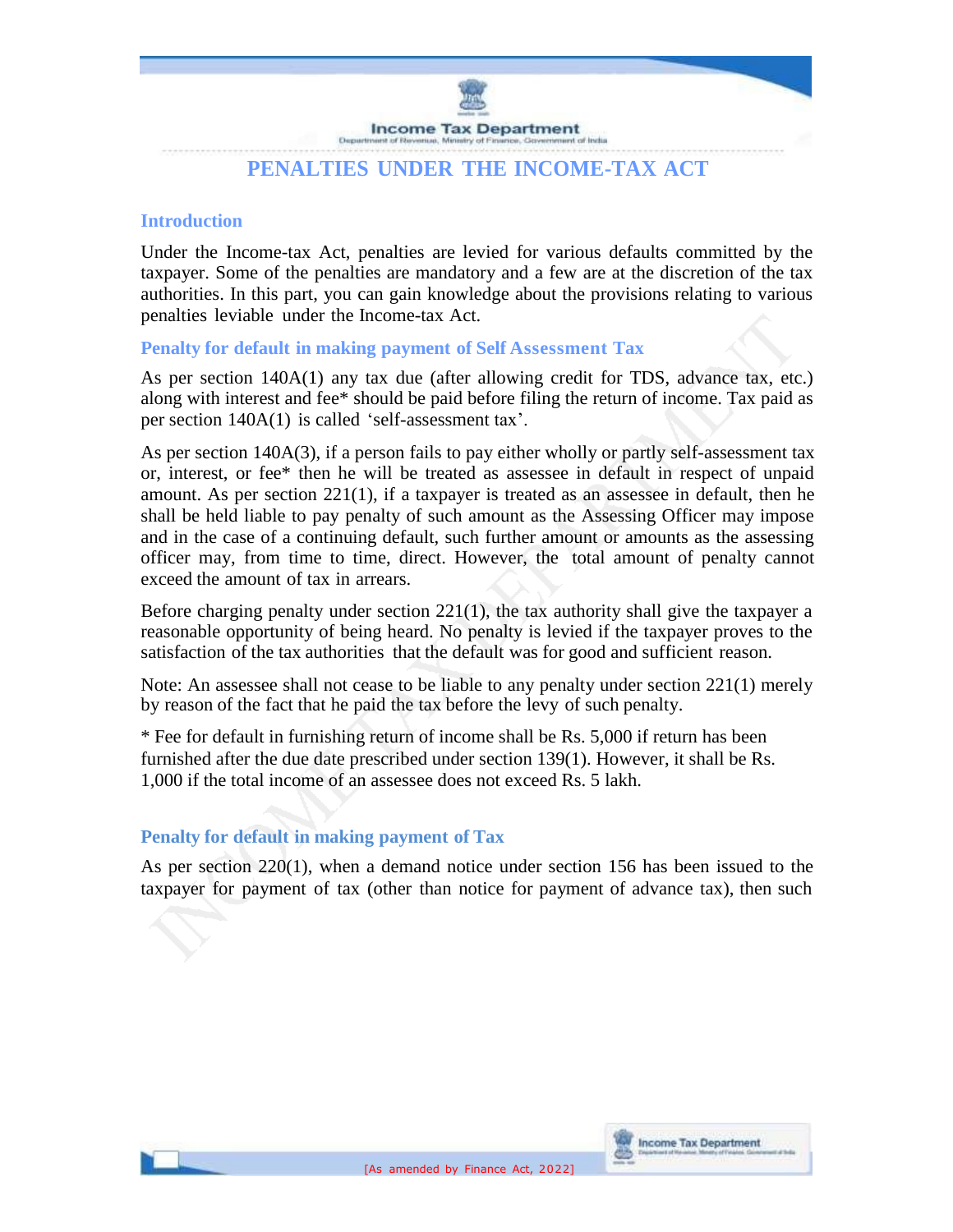

# **PENALTIES UNDER THE INCOME-TAX ACT**

### **Introduction**

Under the Income-tax Act, penalties are levied for various defaults committed by the taxpayer. Some of the penalties are mandatory and a few are at the discretion of the tax authorities. In this part, you can gain knowledge about the provisions relating to various penalties leviable under the Income-tax Act.

**Penalty for default in making payment of Self Assessment Tax**

As per section 140A(1) any tax due (after allowing credit for TDS, advance tax, etc.) along with interest and fee\* should be paid before filing the return of income. Tax paid as per section 140A(1) is called 'self-assessment tax'.

As per section 140A(3), if a person fails to pay either wholly or partly self-assessment tax or, interest, or fee\* then he will be treated as assessee in default in respect of unpaid amount. As per section 221(1), if a taxpayer is treated as an assessee in default, then he shall be held liable to pay penalty of such amount as the Assessing Officer may impose and in the case of a continuing default, such further amount or amounts as the assessing officer may, from time to time, direct. However, the total amount of penalty cannot exceed the amount of tax in arrears.

Before charging penalty under section  $221(1)$ , the tax authority shall give the taxpayer a reasonable opportunity of being heard. No penalty is levied if the taxpayer proves to the satisfaction of the tax authorities that the default was for good and sufficient reason.

Note: An assessee shall not cease to be liable to any penalty under section 221(1) merely by reason of the fact that he paid the tax before the levy of such penalty.

\* Fee for default in furnishing return of income shall be Rs. 5,000 if return has been furnished after the due date prescribed under section 139(1). However, it shall be Rs. 1,000 if the total income of an assessee does not exceed Rs. 5 lakh.

## **Penalty for default in making payment of Tax**

As per section 220(1), when a demand notice under section 156 has been issued to the taxpayer for payment of tax (other than notice for payment of advance tax), then such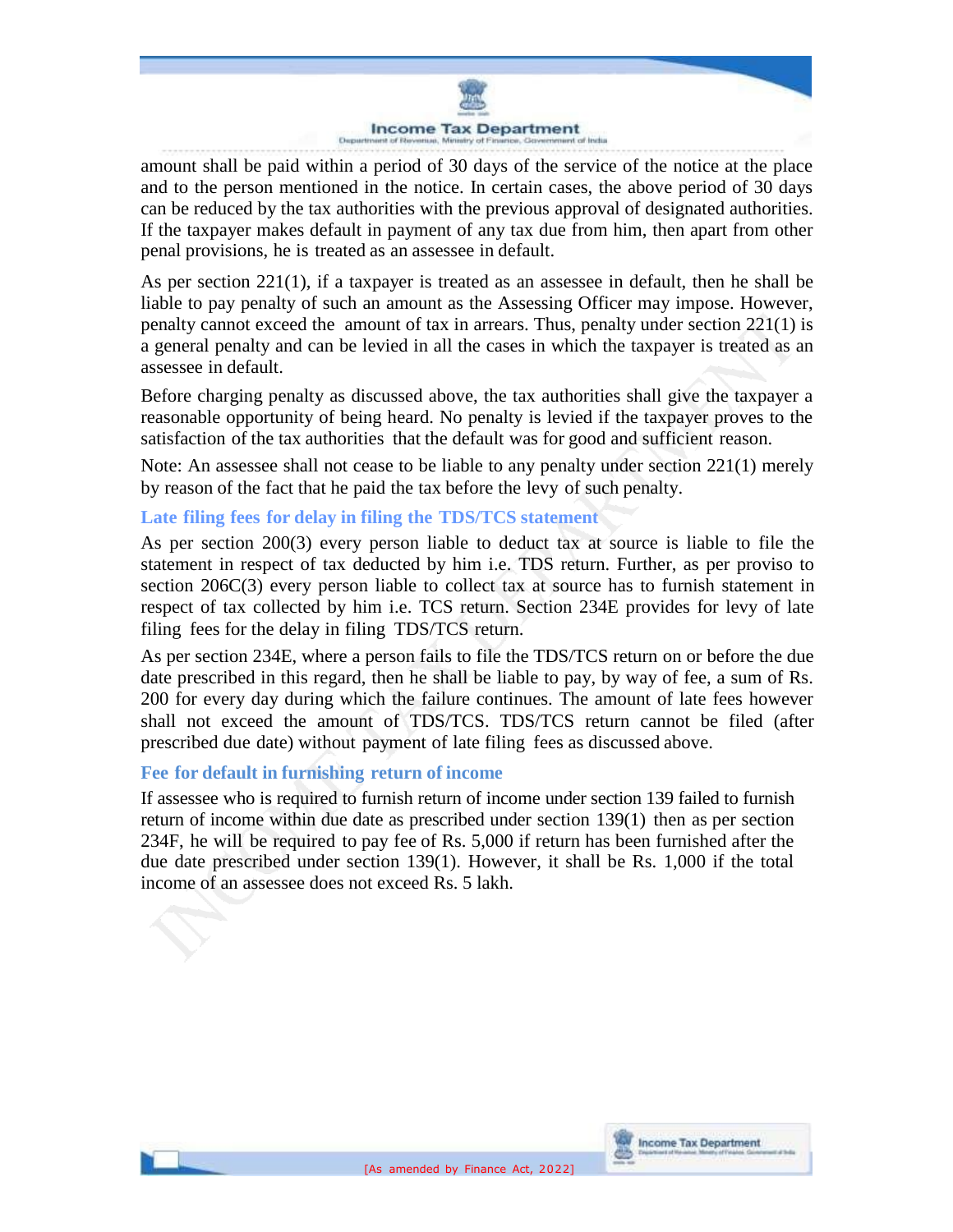

amount shall be paid within a period of 30 days of the service of the notice at the place and to the person mentioned in the notice. In certain cases, the above period of 30 days can be reduced by the tax authorities with the previous approval of designated authorities. If the taxpayer makes default in payment of any tax due from him, then apart from other penal provisions, he is treated as an assessee in default.

As per section 221(1), if a taxpayer is treated as an assessee in default, then he shall be liable to pay penalty of such an amount as the Assessing Officer may impose. However, penalty cannot exceed the amount of tax in arrears. Thus, penalty under section 221(1) is a general penalty and can be levied in all the cases in which the taxpayer is treated as an assessee in default.

Before charging penalty as discussed above, the tax authorities shall give the taxpayer a reasonable opportunity of being heard. No penalty is levied if the taxpayer proves to the satisfaction of the tax authorities that the default was for good and sufficient reason.

Note: An assessee shall not cease to be liable to any penalty under section 221(1) merely by reason of the fact that he paid the tax before the levy of such penalty.

## **Late filing fees for delay in filing the TDS/TCS statement**

As per section 200(3) every person liable to deduct tax at source is liable to file the statement in respect of tax deducted by him i.e. TDS return. Further, as per proviso to section 206C(3) every person liable to collect tax at source has to furnish statement in respect of tax collected by him i.e. TCS return. Section 234E provides for levy of late filing fees for the delay in filing TDS/TCS return.

As per section 234E, where a person fails to file the TDS/TCS return on or before the due date prescribed in this regard, then he shall be liable to pay, by way of fee, a sum of Rs. 200 for every day during which the failure continues. The amount of late fees however shall not exceed the amount of TDS/TCS. TDS/TCS return cannot be filed (after prescribed due date) without payment of late filing fees as discussed above.

## **Fee for default in furnishing return of income**

If assessee who is required to furnish return of income under section 139 failed to furnish return of income within due date as prescribed under section 139(1) then as per section 234F, he will be required to pay fee of Rs. 5,000 if return has been furnished after the due date prescribed under section 139(1). However, it shall be Rs. 1,000 if the total income of an assessee does not exceed Rs. 5 lakh.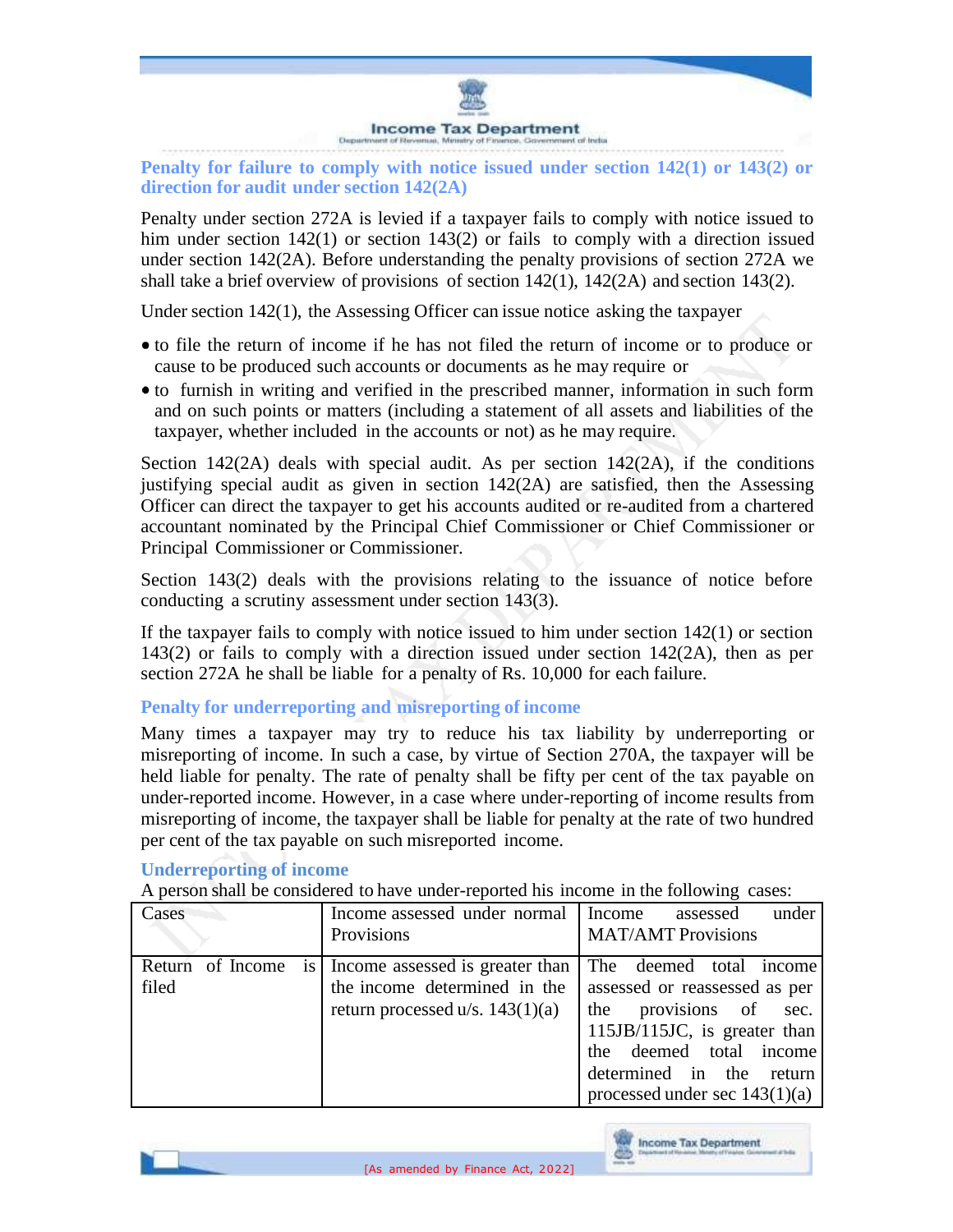

**Penalty for failure to comply with notice issued under section 142(1) or 143(2) or direction for audit under section 142(2A)**

Penalty under section 272A is levied if a taxpayer fails to comply with notice issued to him under section 142(1) or section 143(2) or fails to comply with a direction issued under section 142(2A). Before understanding the penalty provisions of section 272A we shall take a brief overview of provisions of section 142(1), 142(2A) and section 143(2).

Under section  $142(1)$ , the Assessing Officer can issue notice asking the taxpayer

- to file the return of income if he has not filed the return of income or to produce or cause to be produced such accounts or documents as he may require or
- to furnish in writing and verified in the prescribed manner, information in such form and on such points or matters (including a statement of all assets and liabilities of the taxpayer, whether included in the accounts or not) as he may require.

Section 142(2A) deals with special audit. As per section  $142(2)$ , if the conditions justifying special audit as given in section 142(2A) are satisfied, then the Assessing Officer can direct the taxpayer to get his accounts audited or re-audited from a chartered accountant nominated by the Principal Chief Commissioner or Chief Commissioner or Principal Commissioner or Commissioner.

Section 143(2) deals with the provisions relating to the issuance of notice before conducting a scrutiny assessment under section 143(3).

If the taxpayer fails to comply with notice issued to him under section 142(1) or section 143(2) or fails to comply with a direction issued under section 142(2A), then as per section 272A he shall be liable for a penalty of Rs. 10,000 for each failure.

**Penalty for underreporting and misreporting of income**

Many times a taxpayer may try to reduce his tax liability by underreporting or misreporting of income. In such a case, by virtue of Section 270A, the taxpayer will be held liable for penalty. The rate of penalty shall be fifty per cent of the tax payable on under-reported income. However, in a case where under-reporting of income results from misreporting of income, the taxpayer shall be liable for penalty at the rate of two hundred per cent of the tax payable on such misreported income.

#### Cases Income assessed under normal **Provisions** Income assessed under MAT/AMT Provisions Return of Income is Income assessed is greater than The deemed total income filed the income determined in the assessed or reassessed as per return processed u/s.  $143(1)(a)$  the provisions of sec. 115JB/115JC, is greater than the deemed total income determined in the return processed under sec 143(1)(a)

#### **Underreporting of income**

A person shall be considered to have under-reported his income in the following cases:

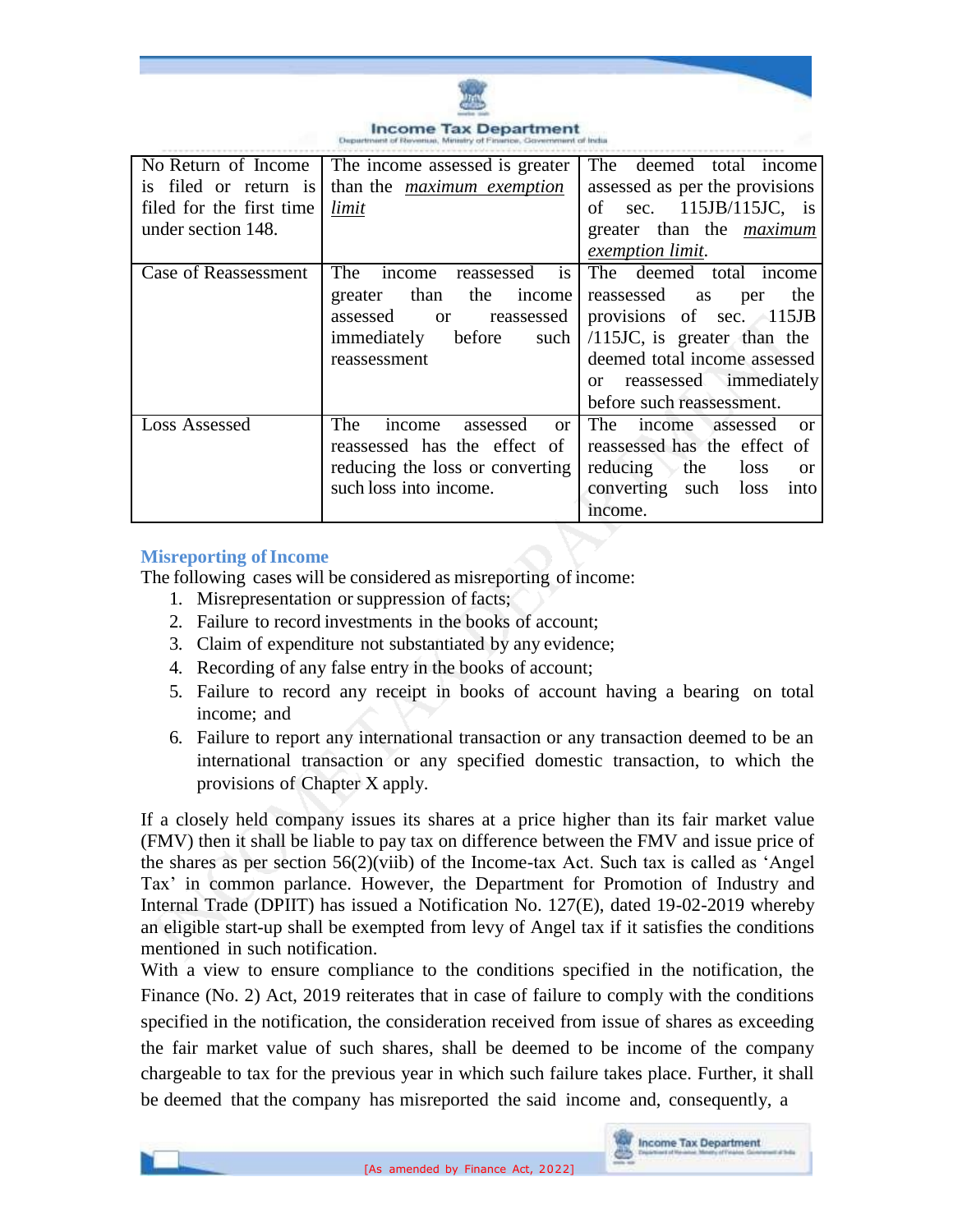

#### **Income Tax Department**

| No Return of Income      | The income assessed is greater             | <b>The</b><br>deemed total income        |
|--------------------------|--------------------------------------------|------------------------------------------|
| is filed or return is    | than the <i>maximum</i> exemption          | assessed as per the provisions           |
| filed for the first time | limit                                      | of sec. $115JB/115JC$ , is               |
| under section 148.       |                                            | greater than the <i>maximum</i>          |
|                          |                                            | exemption limit.                         |
| Case of Reassessment     | is<br>The<br>income<br>reassessed          | The deemed total income                  |
|                          | the<br>than<br>income<br>greater           | reassessed as<br>the<br>per              |
|                          | assessed<br>reassessed<br><b>or</b>        | provisions of sec. 115JB                 |
|                          | before<br>immediately<br>such              | $/115$ JC, is greater than the           |
|                          | reassessment                               | deemed total income assessed             |
|                          |                                            | or reassessed immediately                |
|                          |                                            | before such reassessment.                |
| Loss Assessed            | The<br>income<br>assessed<br><sub>or</sub> | The<br>income assessed<br>- or           |
|                          | reassessed has the effect of               | reassessed has the effect of             |
|                          | reducing the loss or converting            | reducing<br>the<br>loss<br><sub>or</sub> |
|                          | such loss into income.                     | converting such<br>loss<br>into          |
|                          |                                            | income.                                  |

#### **Misreporting** of **Income**

The following cases will be considered as misreporting of income:

- 1. Misrepresentation or suppression of facts;
- 2. Failure to record investments in the books of account;
- 3. Claim of expenditure not substantiated by any evidence;
- 4. Recording of any false entry in the books of account;
- 5. Failure to record any receipt in books of account having a bearing on total income; and
- 6. Failure to report any international transaction or any transaction deemed to be an international transaction or any specified domestic transaction, to which the provisions of Chapter X apply.

If a closely held company issues its shares at a price higher than its fair market value (FMV) then it shall be liable to pay tax on difference between the FMV and issue price of the shares as per section 56(2)(viib) of the Income-tax Act. Such tax is called as 'Angel Tax' in common parlance. However, the Department for Promotion of Industry and Internal Trade (DPIIT) has issued a Notification No. 127(E), dated 19-02-2019 whereby an eligible start-up shall be exempted from levy of Angel tax if it satisfies the conditions mentioned in such notification.

With a view to ensure compliance to the conditions specified in the notification, the Finance (No. 2) Act, 2019 reiterates that in case of failure to comply with the conditions specified in the notification, the consideration received from issue of shares as exceeding the fair market value of such shares, shall be deemed to be income of the company chargeable to tax for the previous year in which such failure takes place. Further, it shall be deemed that the company has misreported the said income and, consequently, a

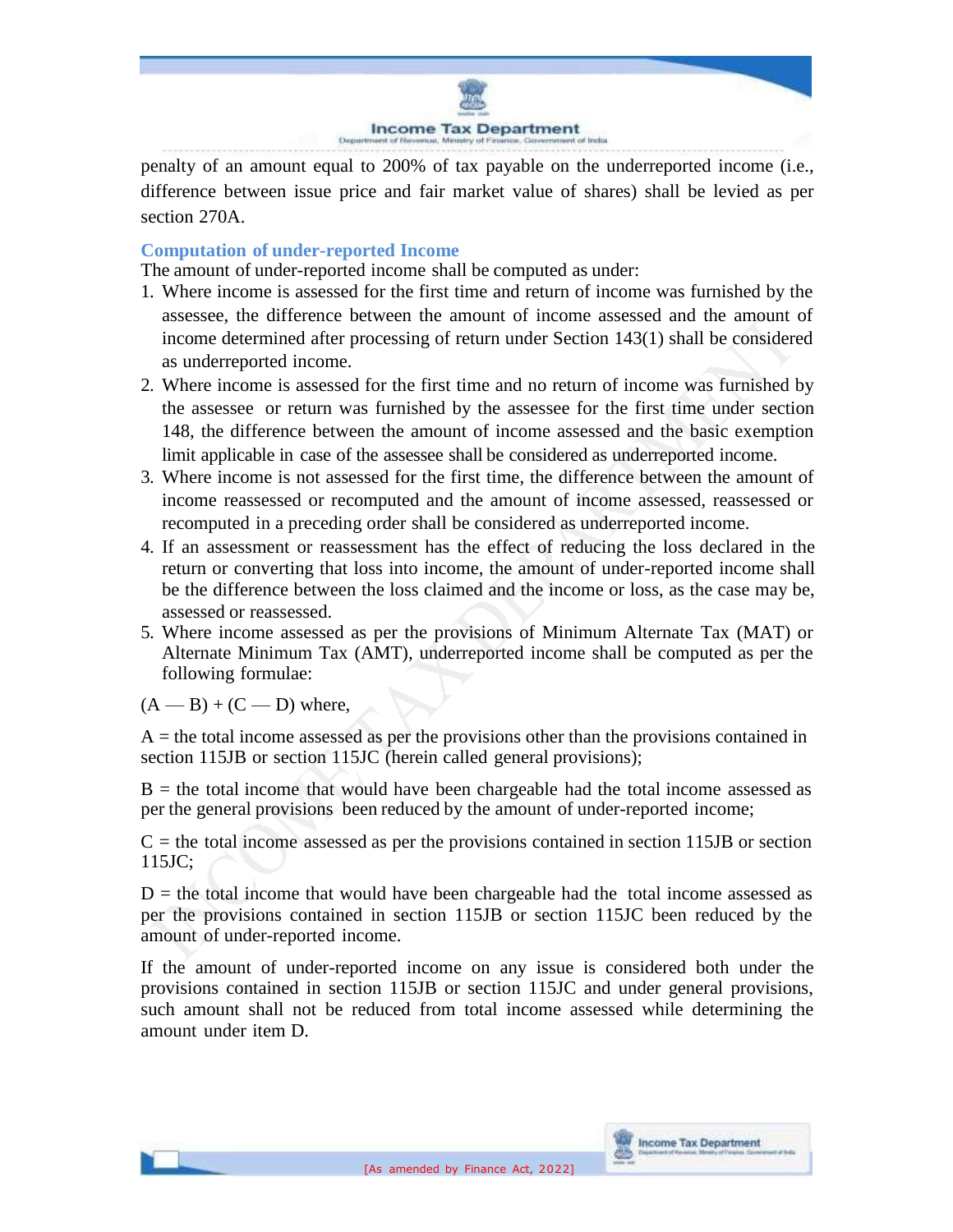

penalty of an amount equal to 200% of tax payable on the underreported income (i.e., difference between issue price and fair market value of shares) shall be levied as per section 270A.

### **Computation of under-reported Income**

The amount of under-reported income shall be computed as under:

- 1. Where income is assessed for the first time and return of income was furnished by the assessee, the difference between the amount of income assessed and the amount of income determined after processing of return under Section 143(1) shall be considered as underreported income.
- 2. Where income is assessed for the first time and no return of income was furnished by the assessee or return was furnished by the assessee for the first time under section 148, the difference between the amount of income assessed and the basic exemption limit applicable in case of the assessee shall be considered as underreported income.
- 3. Where income is not assessed for the first time, the difference between the amount of income reassessed or recomputed and the amount of income assessed, reassessed or recomputed in a preceding order shall be considered as underreported income.
- 4. If an assessment or reassessment has the effect of reducing the loss declared in the return or converting that loss into income, the amount of under-reported income shall be the difference between the loss claimed and the income or loss, as the case may be, assessed or reassessed.
- 5. Where income assessed as per the provisions of Minimum Alternate Tax (MAT) or Alternate Minimum Tax (AMT), underreported income shall be computed as per the following formulae:

 $(A - B) + (C - D)$  where,

 $A =$  the total income assessed as per the provisions other than the provisions contained in section 115JB or section 115JC (herein called general provisions);

 $B =$  the total income that would have been chargeable had the total income assessed as per the general provisions been reduced by the amount of under-reported income;

 $C =$  the total income assessed as per the provisions contained in section 115JB or section 115JC;

 $D =$  the total income that would have been chargeable had the total income assessed as per the provisions contained in section 115JB or section 115JC been reduced by the amount of under-reported income.

If the amount of under-reported income on any issue is considered both under the provisions contained in section 115JB or section 115JC and under general provisions, such amount shall not be reduced from total income assessed while determining the amount under item D.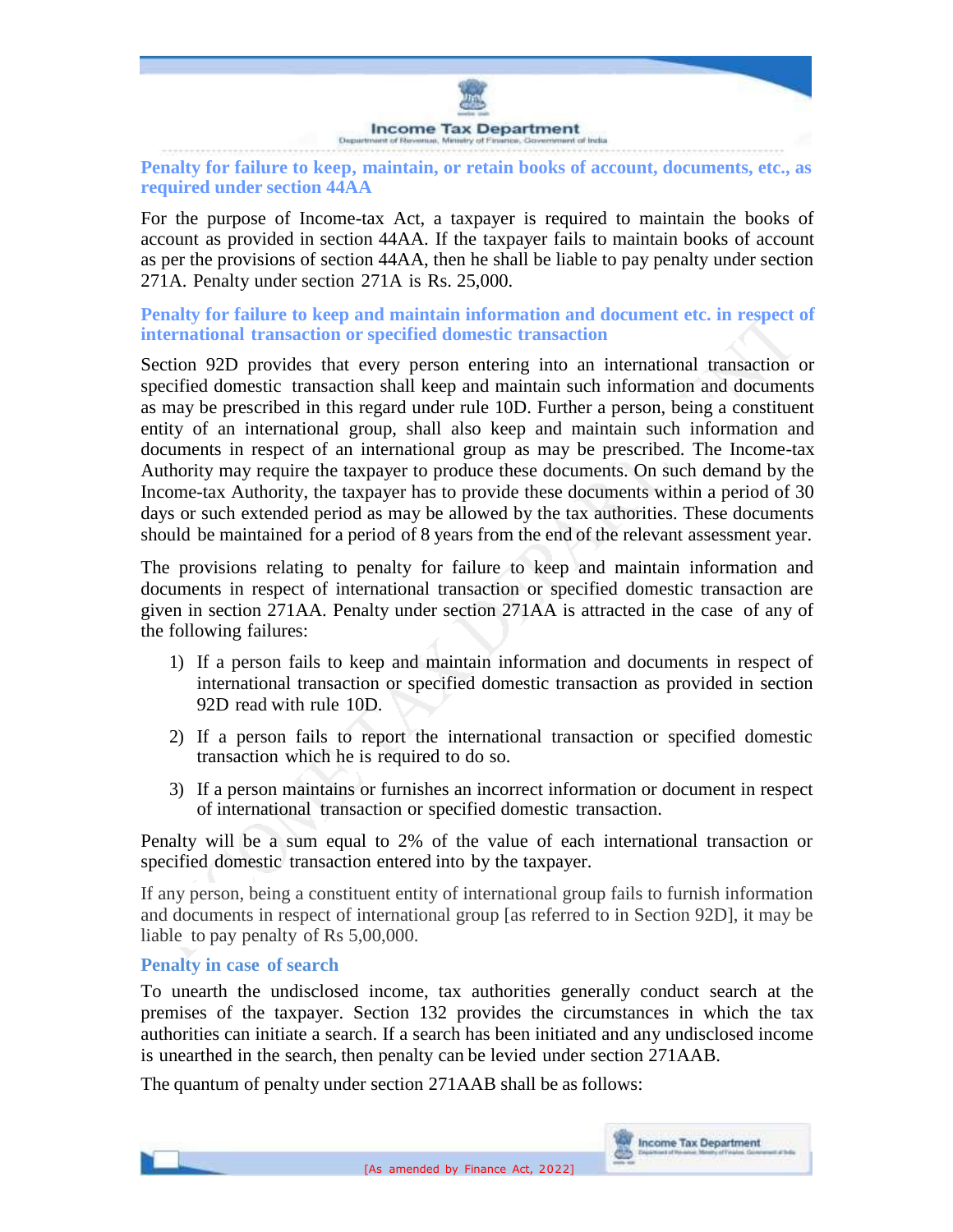

**Penalty for failure to keep, maintain, or retain books of account, documents, etc., as required under section 44AA**

For the purpose of Income-tax Act, a taxpayer is required to maintain the books of account as provided in section 44AA. If the taxpayer fails to maintain books of account as per the provisions of section 44AA, then he shall be liable to pay penalty under section 271A. Penalty under section 271A is Rs. 25,000.

**Penalty for failure to keep and maintain information and document etc. in respect of international transaction or specified domestic transaction**

Section 92D provides that every person entering into an international transaction or specified domestic transaction shall keep and maintain such information and documents as may be prescribed in this regard under rule 10D. Further a person, being a constituent entity of an international group, shall also keep and maintain such information and documents in respect of an international group as may be prescribed. The Income-tax Authority may require the taxpayer to produce these documents. On such demand by the Income-tax Authority, the taxpayer has to provide these documents within a period of 30 days or such extended period as may be allowed by the tax authorities. These documents should be maintained for a period of 8 years from the end of the relevant assessment year.

The provisions relating to penalty for failure to keep and maintain information and documents in respect of international transaction or specified domestic transaction are given in section 271AA. Penalty under section 271AA is attracted in the case of any of the following failures:

- 1) If a person fails to keep and maintain information and documents in respect of international transaction or specified domestic transaction as provided in section 92D read with rule 10D.
- 2) If a person fails to report the international transaction or specified domestic transaction which he is required to do so.
- 3) If a person maintains or furnishes an incorrect information or document in respect of international transaction or specified domestic transaction.

Penalty will be a sum equal to 2% of the value of each international transaction or specified domestic transaction entered into by the taxpayer.

If any person, being a constituent entity of international group fails to furnish information and documents in respect of international group [as referred to in Section 92D], it may be liable to pay penalty of Rs 5,00,000.

#### **Penalty in case of search**

To unearth the undisclosed income, tax authorities generally conduct search at the premises of the taxpayer. Section 132 provides the circumstances in which the tax authorities can initiate a search. If a search has been initiated and any undisclosed income is unearthed in the search, then penalty can be levied under section 271AAB.

The quantum of penalty under section 271AAB shall be as follows: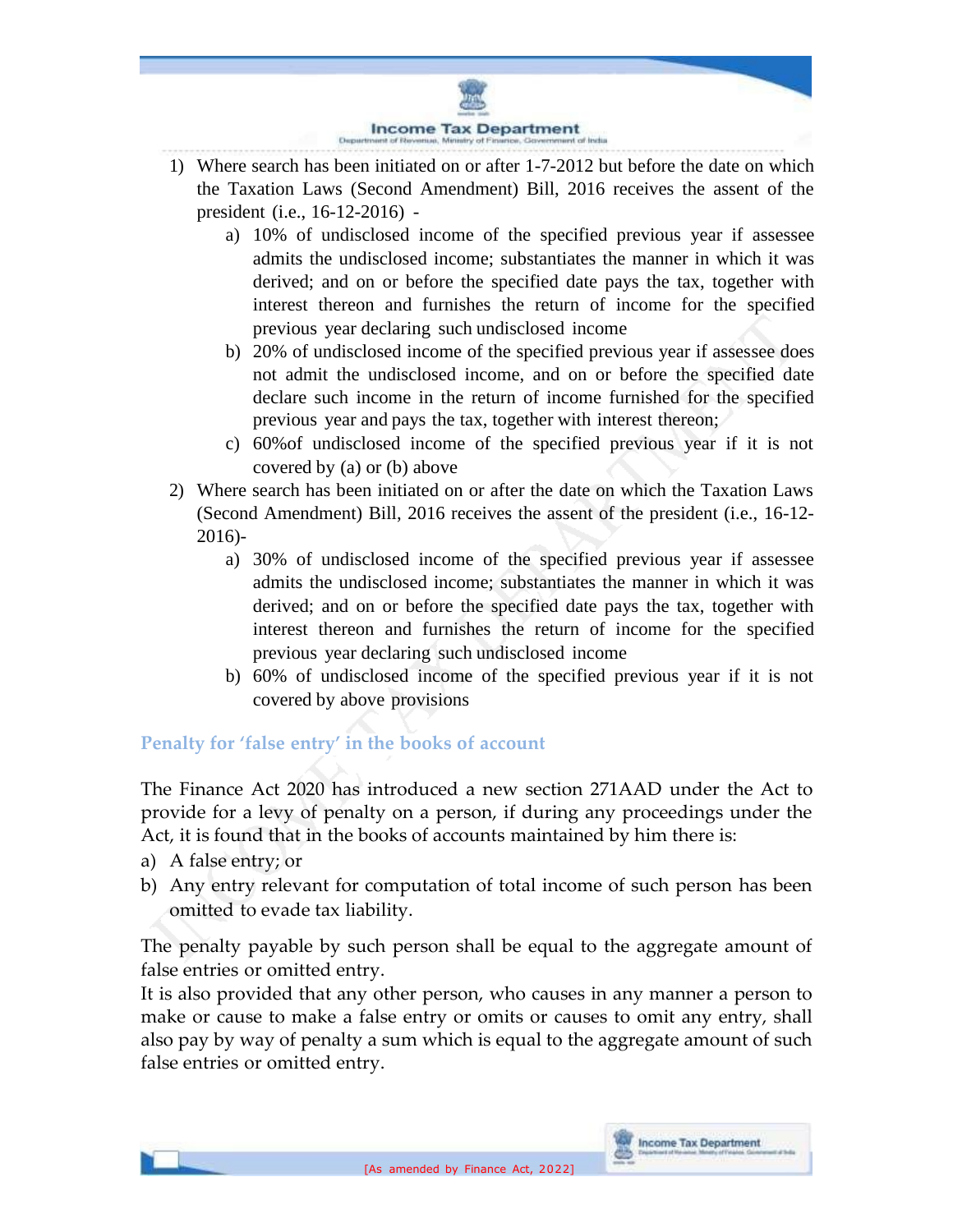

- 1) Where search has been initiated on or after 1-7-2012 but before the date on which the Taxation Laws (Second Amendment) Bill, 2016 receives the assent of the president (i.e., 16-12-2016)
	- a) 10% of undisclosed income of the specified previous year if assessee admits the undisclosed income; substantiates the manner in which it was derived; and on or before the specified date pays the tax, together with interest thereon and furnishes the return of income for the specified previous year declaring such undisclosed income
	- b) 20% of undisclosed income of the specified previous year if assessee does not admit the undisclosed income, and on or before the specified date declare such income in the return of income furnished for the specified previous year and pays the tax, together with interest thereon;
	- c) 60%of undisclosed income of the specified previous year if it is not covered by (a) or (b) above
- 2) Where search has been initiated on or after the date on which the Taxation Laws (Second Amendment) Bill, 2016 receives the assent of the president (i.e., 16-12- 2016)
	- a) 30% of undisclosed income of the specified previous year if assessee admits the undisclosed income; substantiates the manner in which it was derived; and on or before the specified date pays the tax, together with interest thereon and furnishes the return of income for the specified previous year declaring such undisclosed income
	- b) 60% of undisclosed income of the specified previous year if it is not covered by above provisions

# **Penalty for 'false entry' in the books of account**

The Finance Act 2020 has introduced a new section 271AAD under the Act to provide for a levy of penalty on a person, if during any proceedings under the Act, it is found that in the books of accounts maintained by him there is:

- a) A false entry; or
- b) Any entry relevant for computation of total income of such person has been omitted to evade tax liability.

The penalty payable by such person shall be equal to the aggregate amount of false entries or omitted entry.

It is also provided that any other person, who causes in any manner a person to make or cause to make a false entry or omits or causes to omit any entry, shall also pay by way of penalty a sum which is equal to the aggregate amount of such false entries or omitted entry.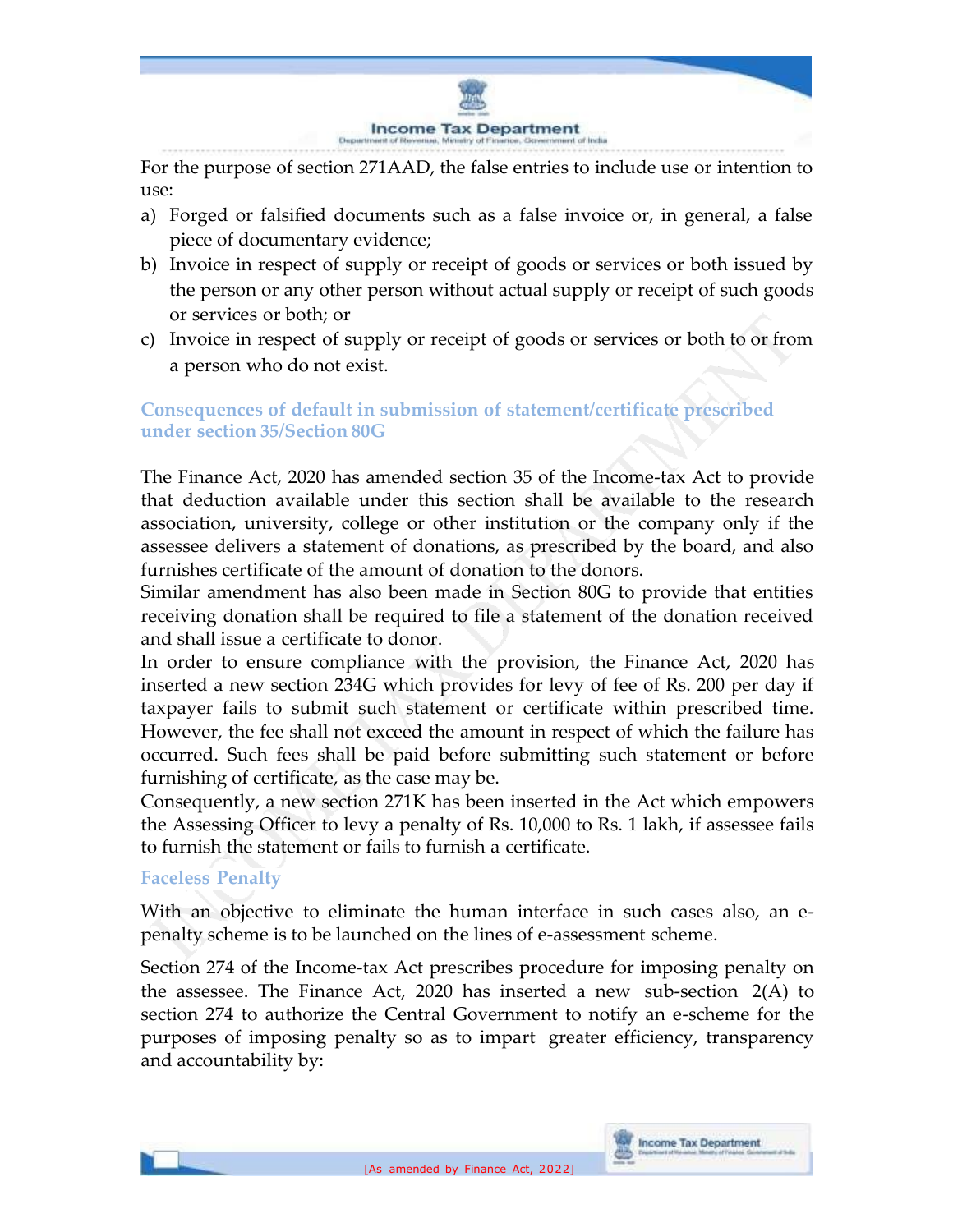

For the purpose of section 271AAD, the false entries to include use or intention to use:

- a) Forged or falsified documents such as a false invoice or, in general, a false piece of documentary evidence;
- b) Invoice in respect of supply or receipt of goods or services or both issued by the person or any other person without actual supply or receipt of such goods or services or both; or
- c) Invoice in respect of supply or receipt of goods or services or both to or from a person who do not exist.

# **Consequences of default in submission of statement/certificate prescribed under section 35/Section 80G**

The Finance Act, 2020 has amended section 35 of the Income-tax Act to provide that deduction available under this section shall be available to the research association, university, college or other institution or the company only if the assessee delivers a statement of donations, as prescribed by the board, and also furnishes certificate of the amount of donation to the donors.

Similar amendment has also been made in Section 80G to provide that entities receiving donation shall be required to file a statement of the donation received and shall issue a certificate to donor.

In order to ensure compliance with the provision, the Finance Act, 2020 has inserted a new section 234G which provides for levy of fee of Rs. 200 per day if taxpayer fails to submit such statement or certificate within prescribed time. However, the fee shall not exceed the amount in respect of which the failure has occurred. Such fees shall be paid before submitting such statement or before furnishing of certificate, as the case may be.

Consequently, a new section 271K has been inserted in the Act which empowers the Assessing Officer to levy a penalty of Rs. 10,000 to Rs. 1 lakh, if assessee fails to furnish the statement or fails to furnish a certificate.

# **Faceless Penalty**

With an objective to eliminate the human interface in such cases also, an epenalty scheme is to be launched on the lines of e-assessment scheme.

Section 274 of the Income-tax Act prescribes procedure for imposing penalty on the assessee. The Finance Act, 2020 has inserted a new sub-section 2(A) to section 274 to authorize the Central Government to notify an e-scheme for the purposes of imposing penalty so as to impart greater efficiency, transparency and accountability by: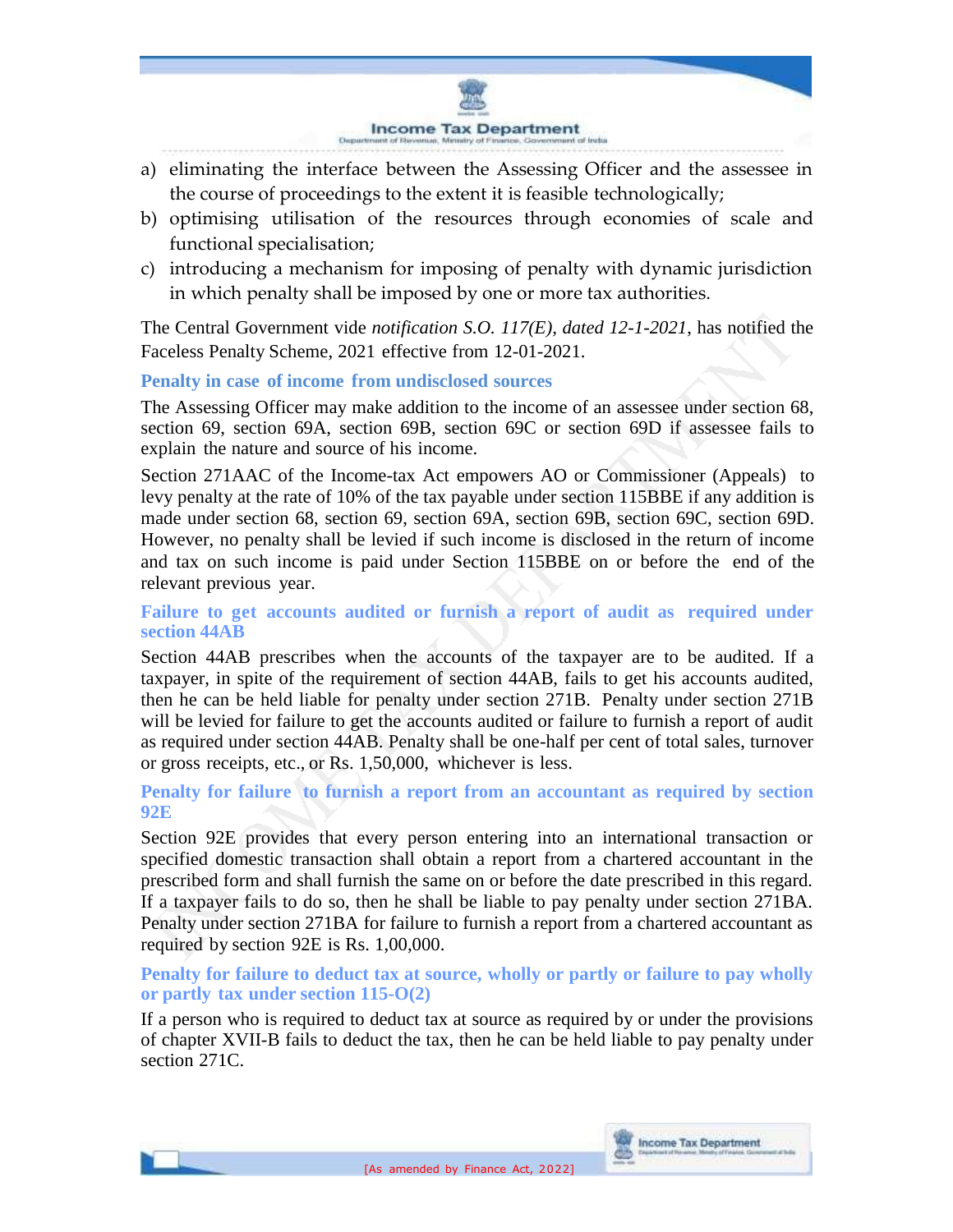

- a) eliminating the interface between the Assessing Officer and the assessee in the course of proceedings to the extent it is feasible technologically;
- b) optimising utilisation of the resources through economies of scale and functional specialisation;
- c) introducing a mechanism for imposing of penalty with dynamic jurisdiction in which penalty shall be imposed by one or more tax authorities.

The Central Government vide *notification S.O. 117(E), dated 12-1-2021*, has notified the Faceless Penalty Scheme, 2021 effective from 12-01-2021.

#### **Penalty in case of income from undisclosed sources**

The Assessing Officer may make addition to the income of an assessee under section 68, section 69, section 69A, section 69B, section 69C or section 69D if assessee fails to explain the nature and source of his income.

Section 271AAC of the Income-tax Act empowers AO or Commissioner (Appeals) to levy penalty at the rate of 10% of the tax payable under section 115BBE if any addition is made under section 68, section 69, section 69A, section 69B, section 69C, section 69D. However, no penalty shall be levied if such income is disclosed in the return of income and tax on such income is paid under Section 115BBE on or before the end of the relevant previous year.

### **Failure to get accounts audited or furnish a report of audit as required under section 44AB**

Section 44AB prescribes when the accounts of the taxpayer are to be audited. If a taxpayer, in spite of the requirement of section 44AB, fails to get his accounts audited, then he can be held liable for penalty under section 271B. Penalty under section 271B will be levied for failure to get the accounts audited or failure to furnish a report of audit as required under section 44AB. Penalty shall be one-half per cent of total sales, turnover or gross receipts, etc., or Rs. 1,50,000, whichever is less.

#### **Penalty for failure to furnish a report from an accountant as required by section 92E**

Section 92E provides that every person entering into an international transaction or specified domestic transaction shall obtain a report from a chartered accountant in the prescribed form and shall furnish the same on or before the date prescribed in this regard. If a taxpayer fails to do so, then he shall be liable to pay penalty under section 271BA. Penalty under section 271BA for failure to furnish a report from a chartered accountant as required by section 92E is Rs. 1,00,000.

#### **Penalty for failure to deduct tax at source, wholly or partly or failure to pay wholly or partly tax under section 115-O(2)**

If a person who is required to deduct tax at source as required by or under the provisions of chapter XVII-B fails to deduct the tax, then he can be held liable to pay penalty under section 271C.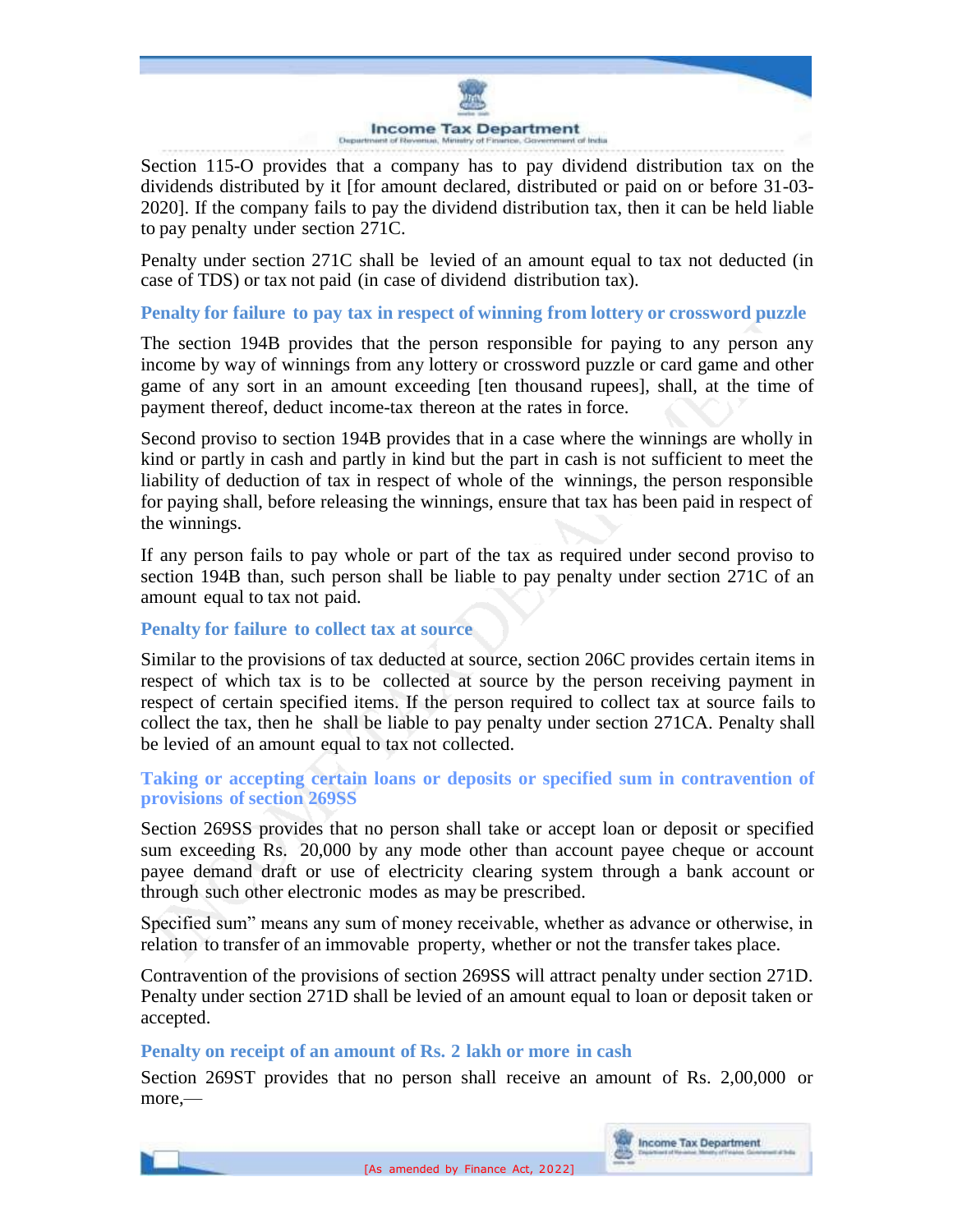

Section 115-O provides that a company has to pay dividend distribution tax on the dividends distributed by it [for amount declared, distributed or paid on or before 31-03- 2020]. If the company fails to pay the dividend distribution tax, then it can be held liable to pay penalty under section 271C.

Penalty under section 271C shall be levied of an amount equal to tax not deducted (in case of TDS) or tax not paid (in case of dividend distribution tax).

#### **Penalty for failure to pay tax in respect of winning from lottery or crossword puzzle**

The section 194B provides that the person responsible for paying to any person any income by way of winnings from any lottery or crossword puzzle or card game and other game of any sort in an amount exceeding [ten thousand rupees], shall, at the time of payment thereof, deduct income-tax thereon at the rates in force.

Second proviso to section 194B provides that in a case where the winnings are wholly in kind or partly in cash and partly in kind but the part in cash is not sufficient to meet the liability of deduction of tax in respect of whole of the winnings, the person responsible for paying shall, before releasing the winnings, ensure that tax has been paid in respect of the winnings.

If any person fails to pay whole or part of the tax as required under second proviso to section 194B than, such person shall be liable to pay penalty under section 271C of an amount equal to tax not paid.

#### **Penalty for failure to collect tax at source**

Similar to the provisions of tax deducted at source, section 206C provides certain items in respect of which tax is to be collected at source by the person receiving payment in respect of certain specified items. If the person required to collect tax at source fails to collect the tax, then he shall be liable to pay penalty under section 271CA. Penalty shall be levied of an amount equal to tax not collected.

#### **Taking or accepting certain loans or deposits or specified sum in contravention of provisions of section 269SS**

Section 269SS provides that no person shall take or accept loan or deposit or specified sum exceeding Rs. 20,000 by any mode other than account payee cheque or account payee demand draft or use of electricity clearing system through a bank account or through such other electronic modes as may be prescribed.

Specified sum" means any sum of money receivable, whether as advance or otherwise, in relation to transfer of an immovable property, whether or not the transfer takes place.

Contravention of the provisions of section 269SS will attract penalty under section 271D. Penalty under section 271D shall be levied of an amount equal to loan or deposit taken or accepted.

### **Penalty on receipt of an amount of Rs. 2 lakh or more in cash**

Section 269ST provides that no person shall receive an amount of Rs. 2,00,000 or more,—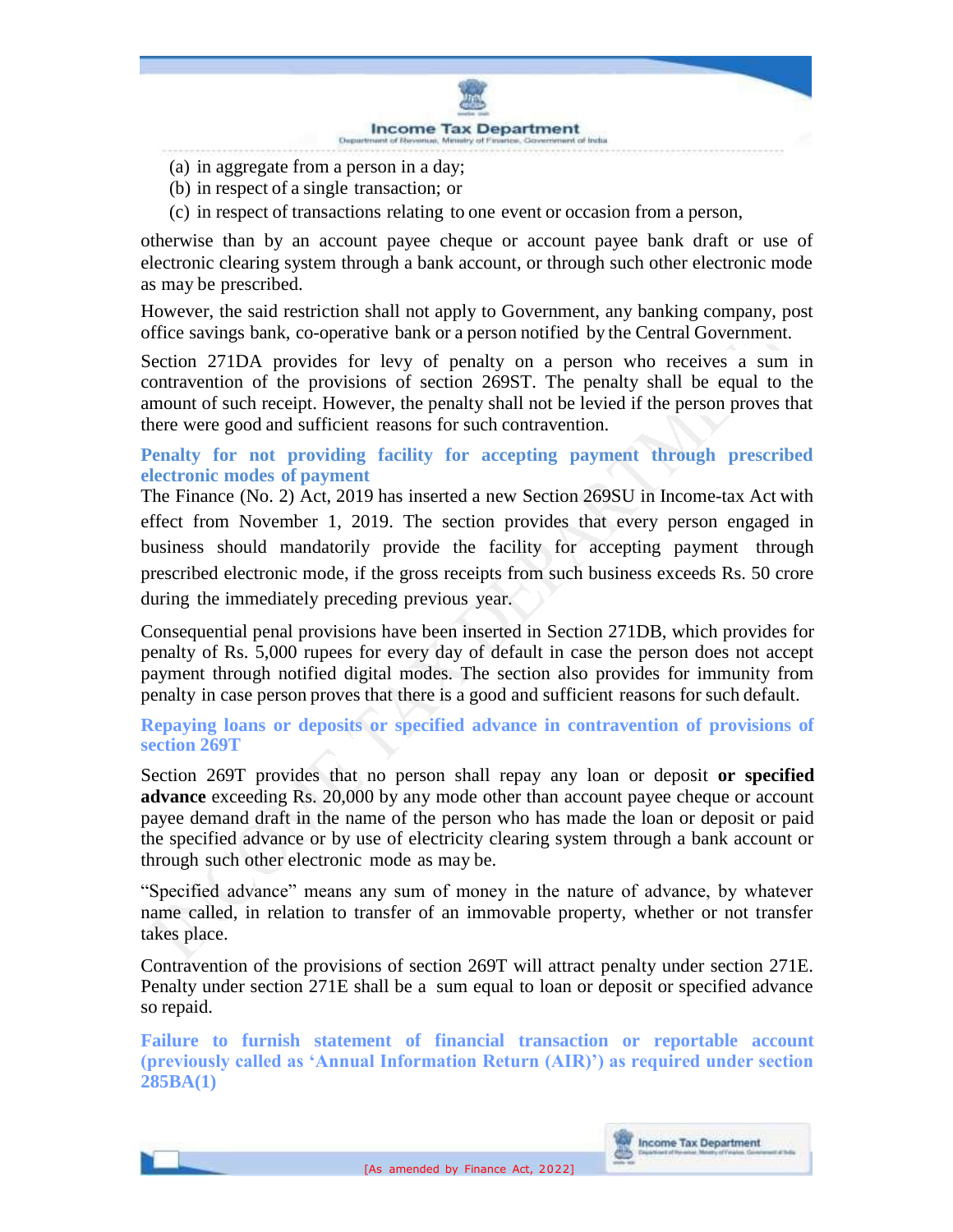

- (a) in aggregate from a person in a day;
- (b) in respect of a single transaction; or
- (c) in respect of transactions relating to one event or occasion from a person,

otherwise than by an account payee cheque or account payee bank draft or use of electronic clearing system through a bank account, or through such other electronic mode as may be prescribed.

However, the said restriction shall not apply to Government, any banking company, post office savings bank, co-operative bank or a person notified by the Central Government.

Section 271DA provides for levy of penalty on a person who receives a sum in contravention of the provisions of section 269ST. The penalty shall be equal to the amount of such receipt. However, the penalty shall not be levied if the person proves that there were good and sufficient reasons for such contravention.

## **Penalty for not providing facility for accepting payment through prescribed electronic modes of payment**

The Finance (No. 2) Act, 2019 has inserted a new Section 269SU in Income-tax Act with effect from November 1, 2019. The section provides that every person engaged in business should mandatorily provide the facility for accepting payment through prescribed electronic mode, if the gross receipts from such business exceeds Rs. 50 crore during the immediately preceding previous year.

Consequential penal provisions have been inserted in Section 271DB, which provides for penalty of Rs. 5,000 rupees for every day of default in case the person does not accept payment through notified digital modes. The section also provides for immunity from penalty in case person proves that there is a good and sufficient reasons for such default.

#### **Repaying loans or deposits or specified advance in contravention of provisions of section 269T**

Section 269T provides that no person shall repay any loan or deposit **or specified advance** exceeding Rs. 20,000 by any mode other than account payee cheque or account payee demand draft in the name of the person who has made the loan or deposit or paid the specified advance or by use of electricity clearing system through a bank account or through such other electronic mode as may be.

"Specified advance" means any sum of money in the nature of advance, by whatever name called, in relation to transfer of an immovable property, whether or not transfer takes place.

Contravention of the provisions of section 269T will attract penalty under section 271E. Penalty under section 271E shall be a sum equal to loan or deposit or specified advance so repaid.

**Failure to furnish statement of financial transaction or reportable account (previously called as 'Annual Information Return (AIR)') as required under section 285BA(1)**

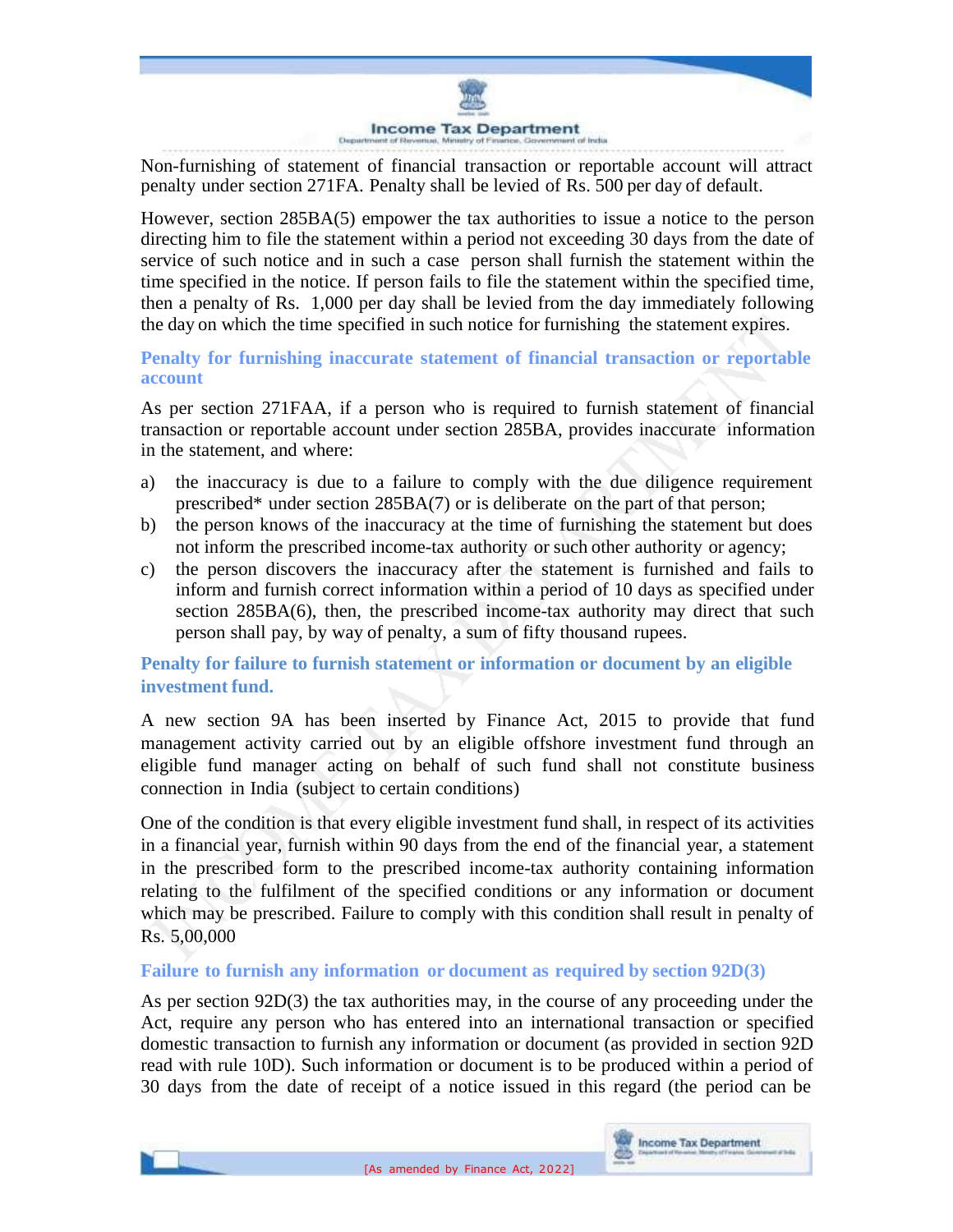

Non-furnishing of statement of financial transaction or reportable account will attract penalty under section 271FA. Penalty shall be levied of Rs. 500 per day of default.

However, section 285BA(5) empower the tax authorities to issue a notice to the person directing him to file the statement within a period not exceeding 30 days from the date of service of such notice and in such a case person shall furnish the statement within the time specified in the notice. If person fails to file the statement within the specified time, then a penalty of Rs. 1,000 per day shall be levied from the day immediately following the day on which the time specified in such notice for furnishing the statement expires.

### **Penalty for furnishing inaccurate statement of financial transaction or reportable account**

As per section 271FAA, if a person who is required to furnish statement of financial transaction or reportable account under section 285BA, provides inaccurate information in the statement, and where:

- a) the inaccuracy is due to a failure to comply with the due diligence requirement prescribed\* under section 285BA(7) or is deliberate on the part of that person;
- b) the person knows of the inaccuracy at the time of furnishing the statement but does not inform the prescribed income-tax authority or such other authority or agency;
- c) the person discovers the inaccuracy after the statement is furnished and fails to inform and furnish correct information within a period of 10 days as specified under section 285BA(6), then, the prescribed income-tax authority may direct that such person shall pay, by way of penalty, a sum of fifty thousand rupees.

## **Penalty for failure to furnish statement or information or document by an eligible investment fund.**

A new section 9A has been inserted by Finance Act, 2015 to provide that fund management activity carried out by an eligible offshore investment fund through an eligible fund manager acting on behalf of such fund shall not constitute business connection in India (subject to certain conditions)

One of the condition is that every eligible investment fund shall, in respect of its activities in a financial year, furnish within 90 days from the end of the financial year, a statement in the prescribed form to the prescribed income-tax authority containing information relating to the fulfilment of the specified conditions or any information or document which may be prescribed. Failure to comply with this condition shall result in penalty of Rs. 5,00,000

#### **Failure to furnish any information or document as required by section 92D(3)**

As per section 92D(3) the tax authorities may, in the course of any proceeding under the Act, require any person who has entered into an international transaction or specified domestic transaction to furnish any information or document (as provided in section 92D read with rule 10D). Such information or document is to be produced within a period of 30 days from the date of receipt of a notice issued in this regard (the period can be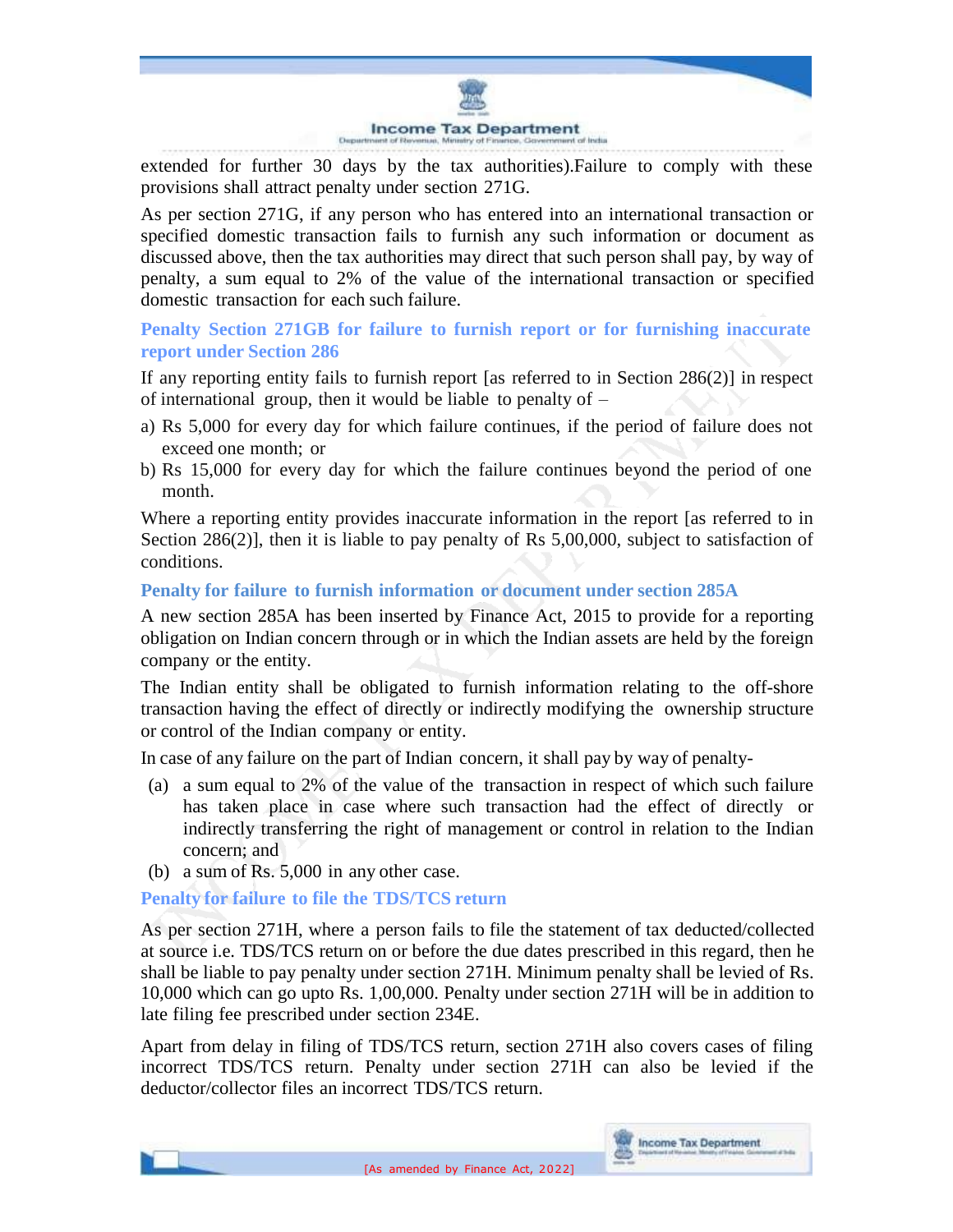

extended for further 30 days by the tax authorities).Failure to comply with these provisions shall attract penalty under section 271G.

As per section 271G, if any person who has entered into an international transaction or specified domestic transaction fails to furnish any such information or document as discussed above, then the tax authorities may direct that such person shall pay, by way of penalty, a sum equal to 2% of the value of the international transaction or specified domestic transaction for each such failure.

**Penalty Section 271GB for failure to furnish report or for furnishing inaccurate report under Section 286**

If any reporting entity fails to furnish report [as referred to in Section 286(2)] in respect of international group, then it would be liable to penalty of  $-$ 

- a) Rs 5,000 for every day for which failure continues, if the period of failure does not exceed one month; or
- b) Rs 15,000 for every day for which the failure continues beyond the period of one month.

Where a reporting entity provides inaccurate information in the report [as referred to in Section 286(2)], then it is liable to pay penalty of Rs 5,00,000, subject to satisfaction of conditions.

## **Penalty for failure to furnish information or document under section 285A**

A new section 285A has been inserted by Finance Act, 2015 to provide for a reporting obligation on Indian concern through or in which the Indian assets are held by the foreign company or the entity.

The Indian entity shall be obligated to furnish information relating to the off-shore transaction having the effect of directly or indirectly modifying the ownership structure or control of the Indian company or entity.

In case of any failure on the part of Indian concern, it shall pay by way of penalty-

- (a) a sum equal to 2% of the value of the transaction in respect of which such failure has taken place in case where such transaction had the effect of directly or indirectly transferring the right of management or control in relation to the Indian concern; and
- (b) a sum of Rs. 5,000 in any other case.

**Penalty for failure to file the TDS/TCS return**

As per section 271H, where a person fails to file the statement of tax deducted/collected at source i.e. TDS/TCS return on or before the due dates prescribed in this regard, then he shall be liable to pay penalty under section 271H. Minimum penalty shall be levied of Rs. 10,000 which can go upto Rs. 1,00,000. Penalty under section 271H will be in addition to late filing fee prescribed under section 234E.

Apart from delay in filing of TDS/TCS return, section 271H also covers cases of filing incorrect TDS/TCS return. Penalty under section 271H can also be levied if the deductor/collector files an incorrect TDS/TCS return.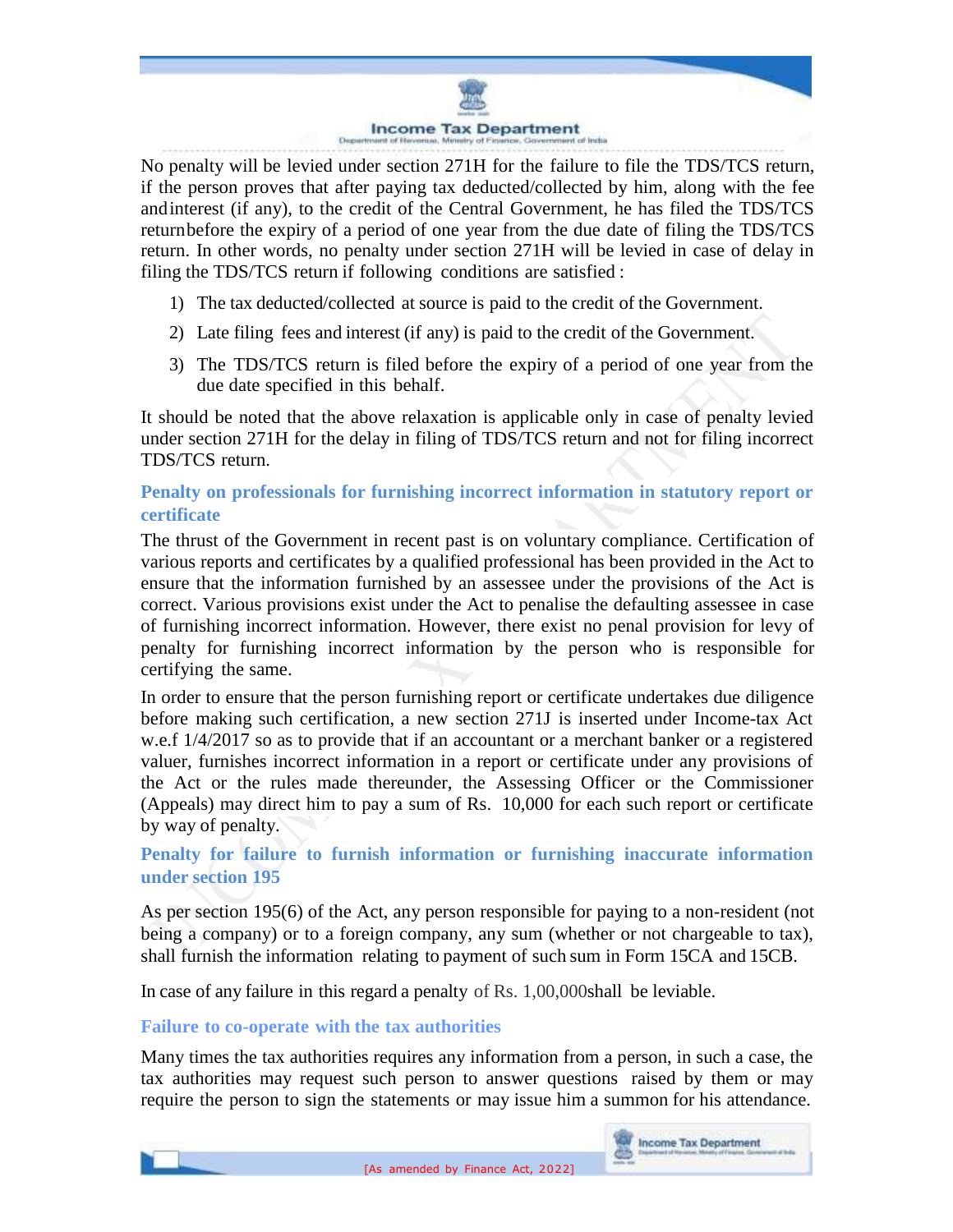

No penalty will be levied under section 271H for the failure to file the TDS/TCS return, if the person proves that after paying tax deducted/collected by him, along with the fee andinterest (if any), to the credit of the Central Government, he has filed the TDS/TCS returnbefore the expiry of a period of one year from the due date of filing the TDS/TCS return. In other words, no penalty under section 271H will be levied in case of delay in filing the TDS/TCS return if following conditions are satisfied :

- 1) The tax deducted/collected at source is paid to the credit of the Government.
- 2) Late filing fees and interest (if any) is paid to the credit of the Government.
- 3) The TDS/TCS return is filed before the expiry of a period of one year from the due date specified in this behalf.

It should be noted that the above relaxation is applicable only in case of penalty levied under section 271H for the delay in filing of TDS/TCS return and not for filing incorrect TDS/TCS return.

## **Penalty on professionals for furnishing incorrect information in statutory report or certificate**

The thrust of the Government in recent past is on voluntary compliance. Certification of various reports and certificates by a qualified professional has been provided in the Act to ensure that the information furnished by an assessee under the provisions of the Act is correct. Various provisions exist under the Act to penalise the defaulting assessee in case of furnishing incorrect information. However, there exist no penal provision for levy of penalty for furnishing incorrect information by the person who is responsible for certifying the same.

In order to ensure that the person furnishing report or certificate undertakes due diligence before making such certification, a new section 271J is inserted under Income-tax Act w.e.f 1/4/2017 so as to provide that if an accountant or a merchant banker or a registered valuer, furnishes incorrect information in a report or certificate under any provisions of the Act or the rules made thereunder, the Assessing Officer or the Commissioner (Appeals) may direct him to pay a sum of Rs. 10,000 for each such report or certificate by way of penalty.

## **Penalty for failure to furnish information or furnishing inaccurate information under section 195**

As per section 195(6) of the Act, any person responsible for paying to a non-resident (not being a company) or to a foreign company, any sum (whether or not chargeable to tax), shall furnish the information relating to payment of such sum in Form 15CA and 15CB.

In case of any failure in this regard a penalty of Rs. 1,00,000shall be leviable.

## **Failure to co-operate with the tax authorities**

Many times the tax authorities requires any information from a person, in such a case, the tax authorities may request such person to answer questions raised by them or may require the person to sign the statements or may issue him a summon for his attendance.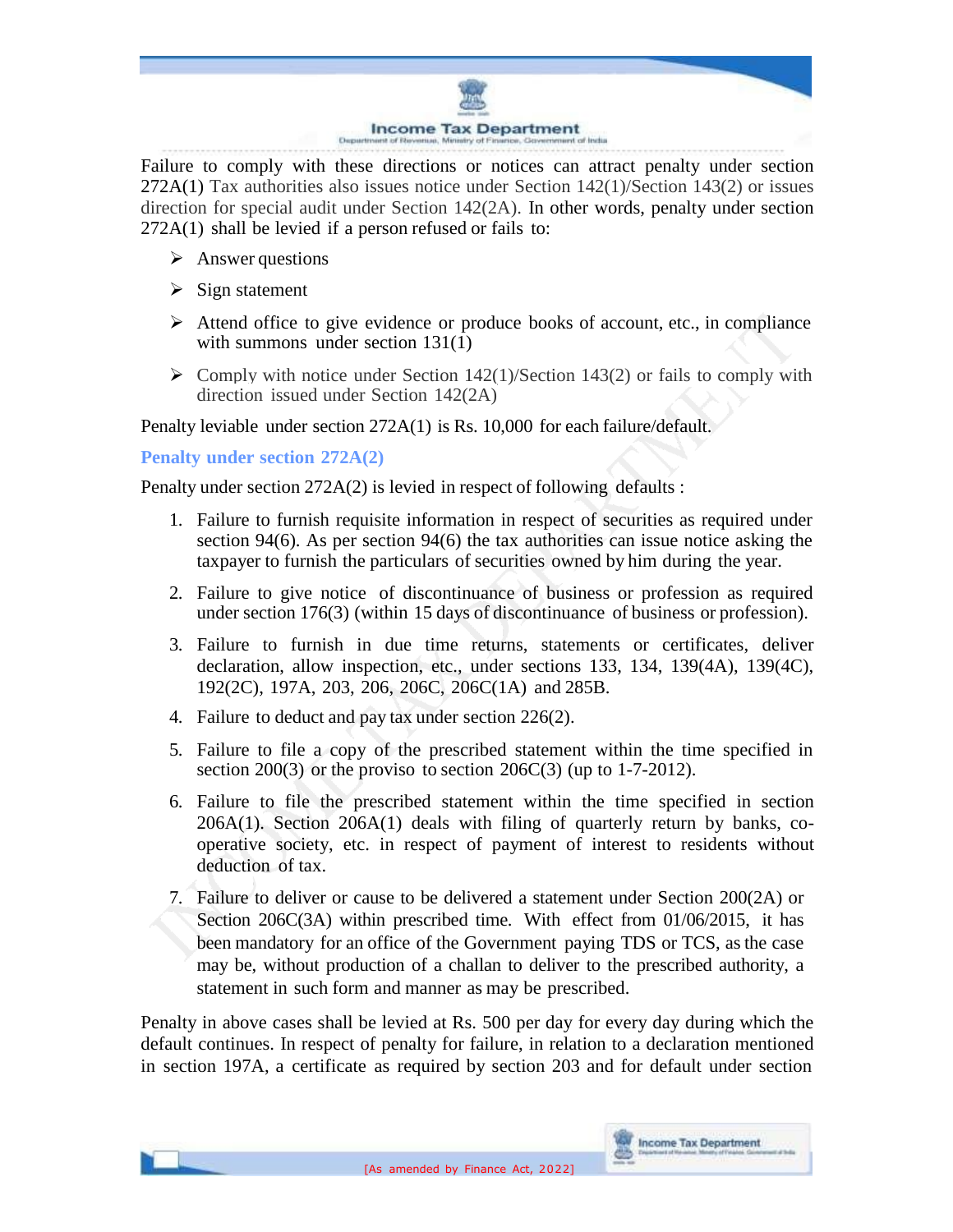

Failure to comply with these directions or notices can attract penalty under section 272A(1) Tax authorities also issues notice under Section 142(1)/Section 143(2) or issues direction for special audit under Section 142(2A). In other words, penalty under section 272A(1) shall be levied if a person refused or fails to:

- $\triangleright$  Answer questions
- $\triangleright$  Sign statement
- $\triangleright$  Attend office to give evidence or produce books of account, etc., in compliance with summons under section 131(1)
- $\triangleright$  Comply with notice under Section 142(1)/Section 143(2) or fails to comply with direction issued under Section 142(2A)

Penalty leviable under section 272A(1) is Rs. 10,000 for each failure/default.

**Penalty under section 272A(2)**

Penalty under section 272A(2) is levied in respect of following defaults :

- 1. Failure to furnish requisite information in respect of securities as required under section 94(6). As per section 94(6) the tax authorities can issue notice asking the taxpayer to furnish the particulars of securities owned by him during the year.
- 2. Failure to give notice of discontinuance of business or profession as required under section 176(3) (within 15 days of discontinuance of business or profession).
- 3. Failure to furnish in due time returns, statements or certificates, deliver declaration, allow inspection, etc., under sections 133, 134, 139(4A), 139(4C), 192(2C), 197A, 203, 206, 206C, 206C(1A) and 285B.
- 4. Failure to deduct and pay tax under section 226(2).
- 5. Failure to file a copy of the prescribed statement within the time specified in section 200(3) or the proviso to section  $206C(3)$  (up to 1-7-2012).
- 6. Failure to file the prescribed statement within the time specified in section 206A(1). Section 206A(1) deals with filing of quarterly return by banks, cooperative society, etc. in respect of payment of interest to residents without deduction of tax.
- 7. Failure to deliver or cause to be delivered a statement under Section 200(2A) or Section 206C(3A) within prescribed time. With effect from 01/06/2015, it has been mandatory for an office of the Government paying TDS or TCS, asthe case may be, without production of a challan to deliver to the prescribed authority, a statement in such form and manner as may be prescribed.

Penalty in above cases shall be levied at Rs. 500 per day for every day during which the default continues. In respect of penalty for failure, in relation to a declaration mentioned in section 197A, a certificate as required by section 203 and for default under section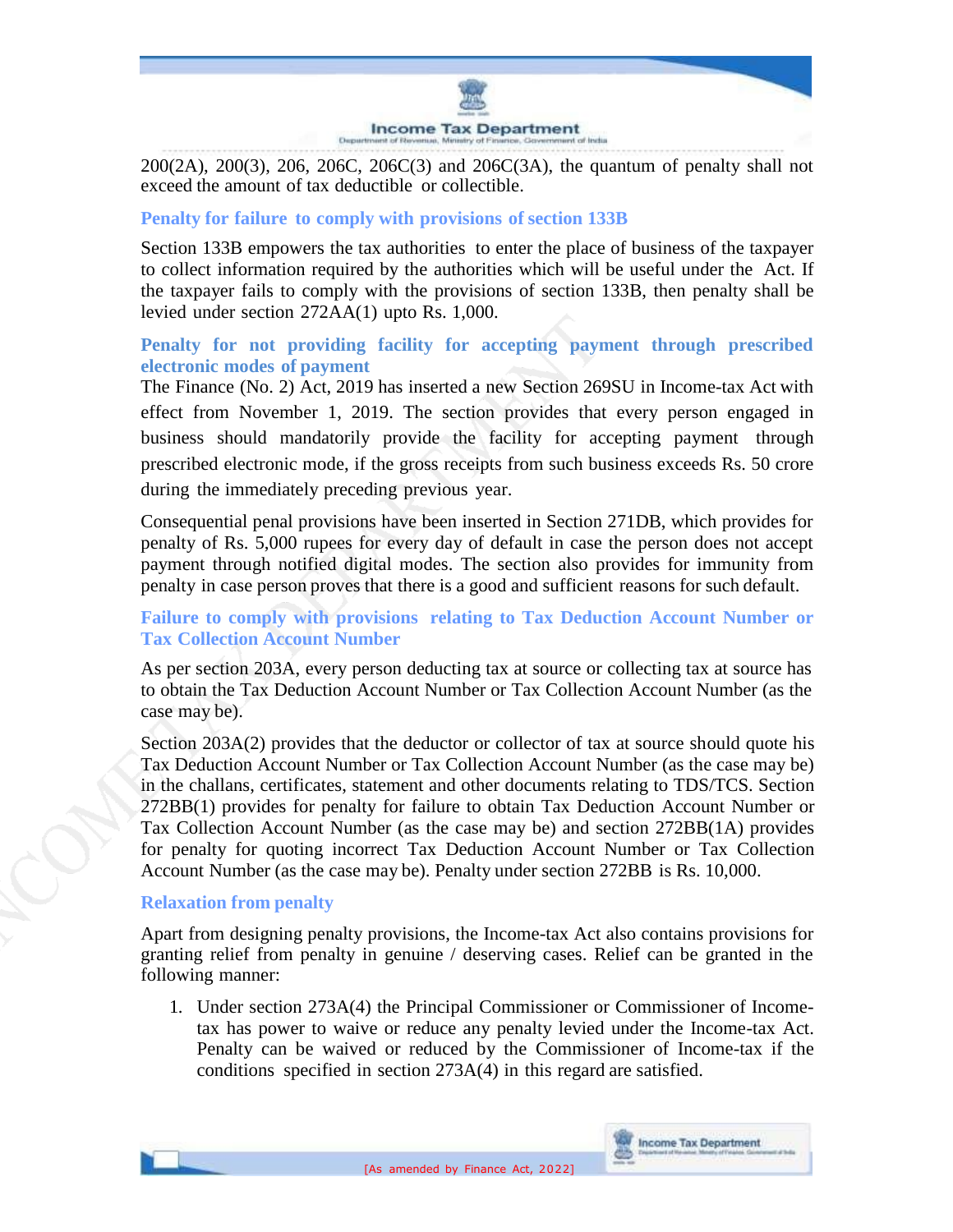

200(2A), 200(3), 206, 206C, 206C(3) and 206C(3A), the quantum of penalty shall not exceed the amount of tax deductible or collectible.

### **Penalty for failure to comply with provisions of section 133B**

Section 133B empowers the tax authorities to enter the place of business of the taxpayer to collect information required by the authorities which will be useful under the Act. If the taxpayer fails to comply with the provisions of section 133B, then penalty shall be levied under section 272AA(1) upto Rs. 1,000.

## **Penalty for not providing facility for accepting payment through prescribed electronic modes of payment**

The Finance (No. 2) Act, 2019 has inserted a new Section 269SU in Income-tax Act with effect from November 1, 2019. The section provides that every person engaged in business should mandatorily provide the facility for accepting payment through prescribed electronic mode, if the gross receipts from such business exceeds Rs. 50 crore during the immediately preceding previous year.

Consequential penal provisions have been inserted in Section 271DB, which provides for penalty of Rs. 5,000 rupees for every day of default in case the person does not accept payment through notified digital modes. The section also provides for immunity from penalty in case person proves that there is a good and sufficient reasons for such default.

## **Failure to comply with provisions relating to Tax Deduction Account Number or Tax Collection Account Number**

As per section 203A, every person deducting tax at source or collecting tax at source has to obtain the Tax Deduction Account Number or Tax Collection Account Number (as the case may be).

Section 203A(2) provides that the deductor or collector of tax at source should quote his Tax Deduction Account Number or Tax Collection Account Number (as the case may be) in the challans, certificates, statement and other documents relating to TDS/TCS. Section 272BB(1) provides for penalty for failure to obtain Tax Deduction Account Number or Tax Collection Account Number (as the case may be) and section 272BB(1A) provides for penalty for quoting incorrect Tax Deduction Account Number or Tax Collection Account Number (as the case may be). Penalty under section 272BB is Rs. 10,000.

#### **Relaxation from penalty**

Apart from designing penalty provisions, the Income-tax Act also contains provisions for granting relief from penalty in genuine / deserving cases. Relief can be granted in the following manner:

1. Under section 273A(4) the Principal Commissioner or Commissioner of Incometax has power to waive or reduce any penalty levied under the Income-tax Act. Penalty can be waived or reduced by the Commissioner of Income-tax if the conditions specified in section 273A(4) in this regard are satisfied.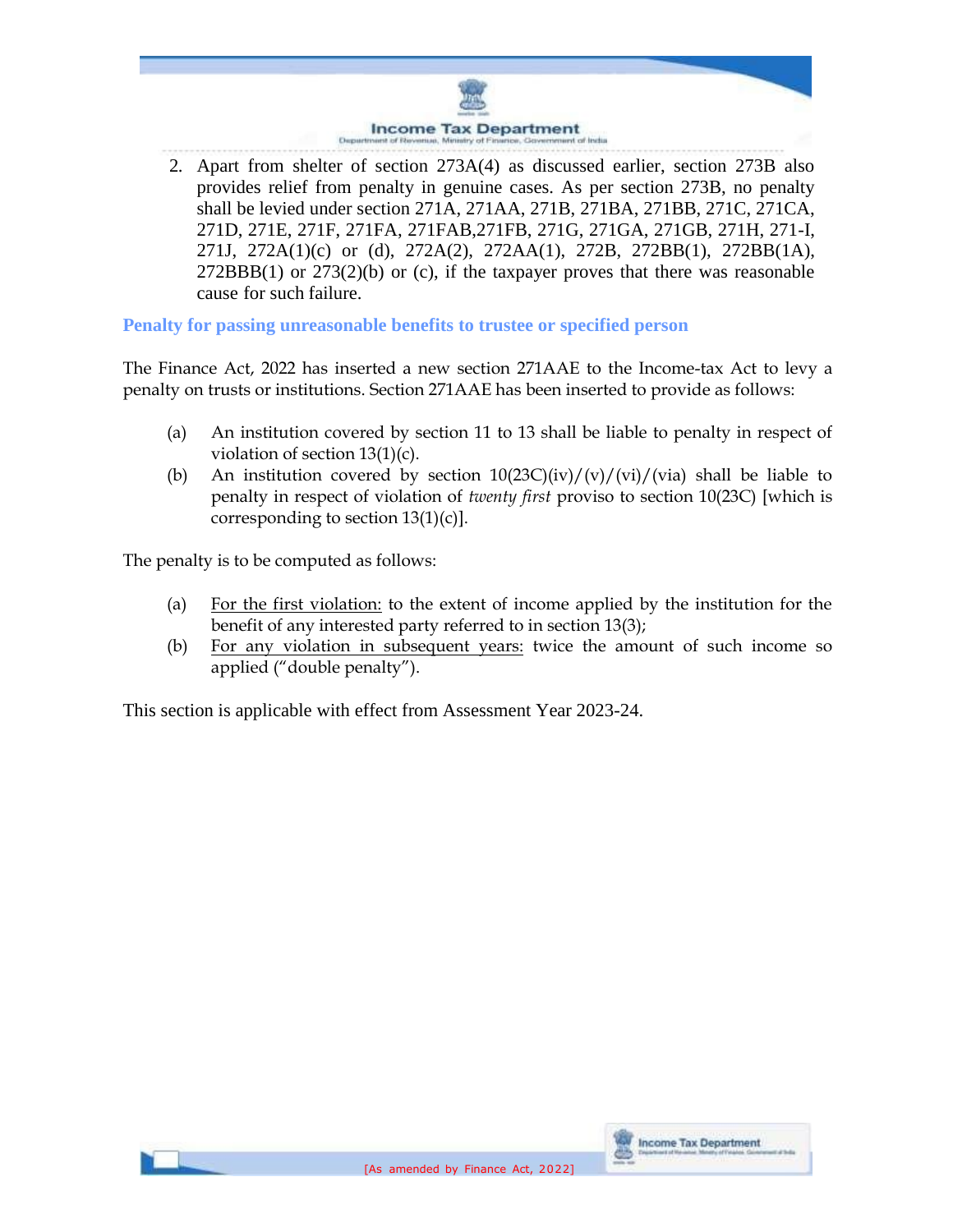

2. Apart from shelter of section 273A(4) as discussed earlier, section 273B also provides relief from penalty in genuine cases. As per section 273B, no penalty shall be levied under section 271A, 271AA, 271B, 271BA, 271BB, 271C, 271CA, 271D, 271E, 271F, 271FA, 271FAB,271FB, 271G, 271GA, 271GB, 271H, 271-I, 271J, 272A(1)(c) or (d), 272A(2), 272AA(1), 272B, 272BB(1), 272BB(1A),  $272BBB(1)$  or  $273(2)(b)$  or (c), if the taxpayer proves that there was reasonable cause for such failure.

**Penalty for passing unreasonable benefits to trustee or specified person**

The Finance Act, 2022 has inserted a new section 271AAE to the Income-tax Act to levy a penalty on trusts or institutions. Section 271AAE has been inserted to provide as follows:

- (a) An institution covered by section 11 to 13 shall be liable to penalty in respect of violation of section 13(1)(c).
- (b) An institution covered by section  $10(23C)(iv)/(vi)/(vi)/(via)$  shall be liable to penalty in respect of violation of *twenty first* proviso to section 10(23C) [which is corresponding to section  $13(1)(c)$ .

The penalty is to be computed as follows:

- (a) For the first violation: to the extent of income applied by the institution for the benefit of any interested party referred to in section 13(3);
- (b) For any violation in subsequent years: twice the amount of such income so applied ("double penalty").

This section is applicable with effect from Assessment Year 2023-24.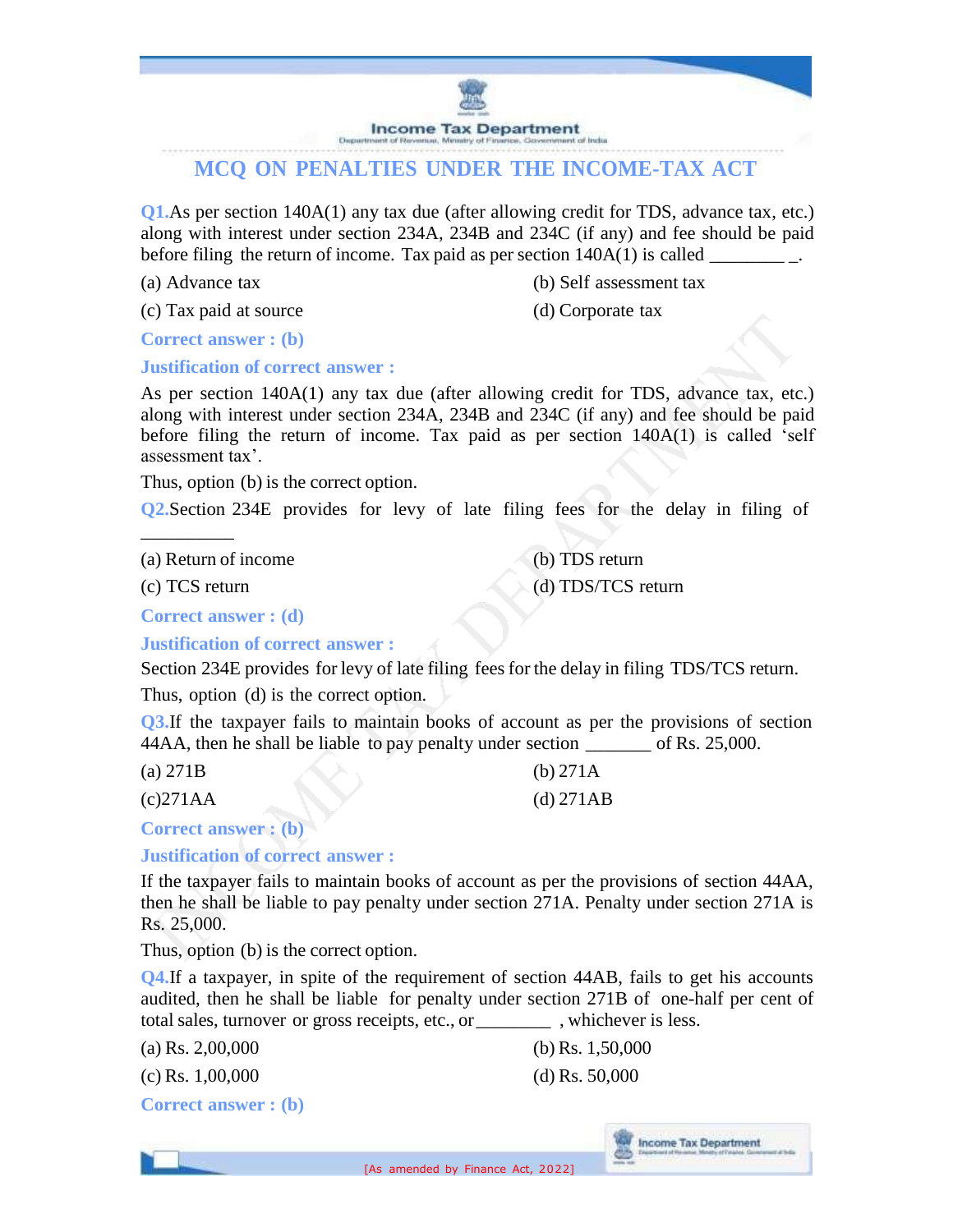

# **MCQ ON PENALTIES UNDER THE INCOME-TAX ACT**

**Q1.**As per section 140A(1) any tax due (after allowing credit for TDS, advance tax, etc.) along with interest under section 234A, 234B and 234C (if any) and fee should be paid before filing the return of income. Tax paid as per section  $140A(1)$  is called

(a) Advance tax (b) Self assessment tax

(c) Tax paid at source (d) Corporate tax

**Correct answer : (b)**

#### **Justification of correct answer :**

As per section 140A(1) any tax due (after allowing credit for TDS, advance tax, etc.) along with interest under section 234A, 234B and 234C (if any) and fee should be paid before filing the return of income. Tax paid as per section 140A(1) is called 'self assessment tax'.

Thus, option (b) is the correct option.

**Q2.**Section 234E provides for levy of late filing fees for the delay in filing of

(a) Return of income (b) TDS return

(c) TCS return (d) TDS/TCS return

\_\_\_\_\_\_\_\_\_\_

**Correct answer : (d)**

**Justification of correct answer :**

Section 234E provides for levy of late filing fees for the delay in filing TDS/TCS return.

Thus, option (d) is the correct option.

**Q3.**If the taxpayer fails to maintain books of account as per the provisions of section 44AA, then he shall be liable to pay penalty under section of Rs. 25,000.

| (a) $271B$ | (b) $271A$  |
|------------|-------------|
| (c)271AA   | $(d)$ 271AB |

**Correct answer : (b)**

**Justification of correct answer :**

If the taxpayer fails to maintain books of account as per the provisions of section 44AA, then he shall be liable to pay penalty under section 271A. Penalty under section 271A is Rs. 25,000.

Thus, option (b) is the correct option.

**Q4.**If a taxpayer, in spite of the requirement of section 44AB, fails to get his accounts audited, then he shall be liable for penalty under section 271B of one-half per cent of total sales, turnover or gross receipts, etc., or whichever is less.

(a) Rs.  $2,00,000$  (b) Rs.  $1,50,000$ 

**Income Tax Department** 

(c) Rs.  $1,00,000$  (d) Rs.  $50,000$ 

**Correct answer : (b)**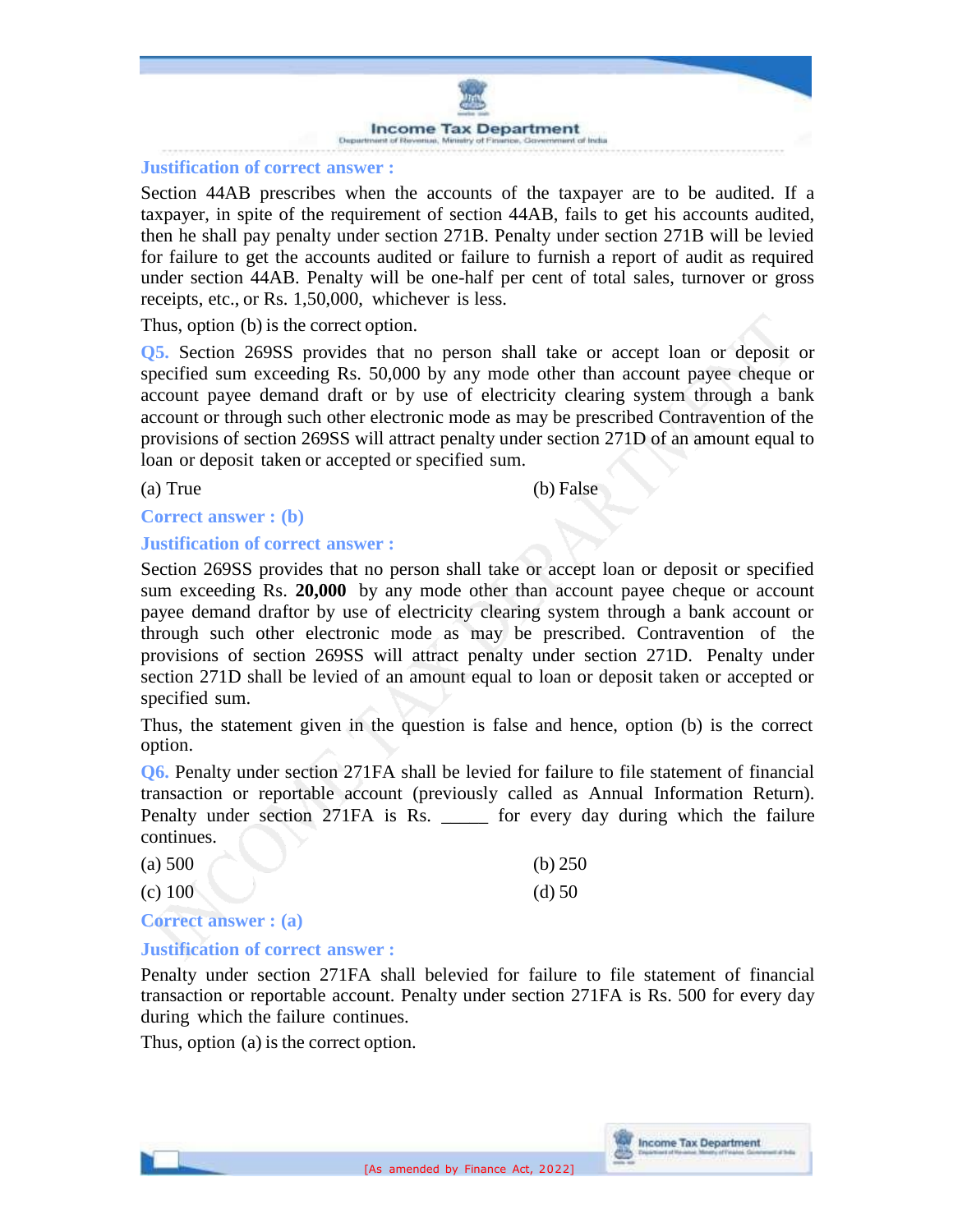

#### **Justification of correct answer :**

Section 44AB prescribes when the accounts of the taxpayer are to be audited. If a taxpayer, in spite of the requirement of section 44AB, fails to get his accounts audited, then he shall pay penalty under section 271B. Penalty under section 271B will be levied for failure to get the accounts audited or failure to furnish a report of audit as required under section 44AB. Penalty will be one-half per cent of total sales, turnover or gross receipts, etc., or Rs. 1,50,000, whichever is less.

Thus, option (b) is the correct option.

**Q5.** Section 269SS provides that no person shall take or accept loan or deposit or specified sum exceeding Rs. 50,000 by any mode other than account payee cheque or account payee demand draft or by use of electricity clearing system through a bank account or through such other electronic mode as may be prescribed Contravention of the provisions of section 269SS will attract penalty under section 271D of an amount equal to loan or deposit taken or accepted or specified sum.

(a) True (b) False

#### **Correct answer : (b)**

#### **Justification of correct answer :**

Section 269SS provides that no person shall take or accept loan or deposit or specified sum exceeding Rs. **20,000** by any mode other than account payee cheque or account payee demand draftor by use of electricity clearing system through a bank account or through such other electronic mode as may be prescribed. Contravention of the provisions of section 269SS will attract penalty under section 271D. Penalty under section 271D shall be levied of an amount equal to loan or deposit taken or accepted or specified sum.

Thus, the statement given in the question is false and hence, option (b) is the correct option.

**Q6.** Penalty under section 271FA shall be levied for failure to file statement of financial transaction or reportable account (previously called as Annual Information Return). Penalty under section 271FA is Rs.  $\qquad \qquad$  for every day during which the failure continues.

| (a) 500   | (b) $250$ |
|-----------|-----------|
| $(c)$ 100 | $(d)$ 50  |

**Correct answer : (a)**

#### **Justification of correct answer :**

Penalty under section 271FA shall belevied for failure to file statement of financial transaction or reportable account. Penalty under section 271FA is Rs. 500 for every day during which the failure continues.

Thus, option (a) is the correct option.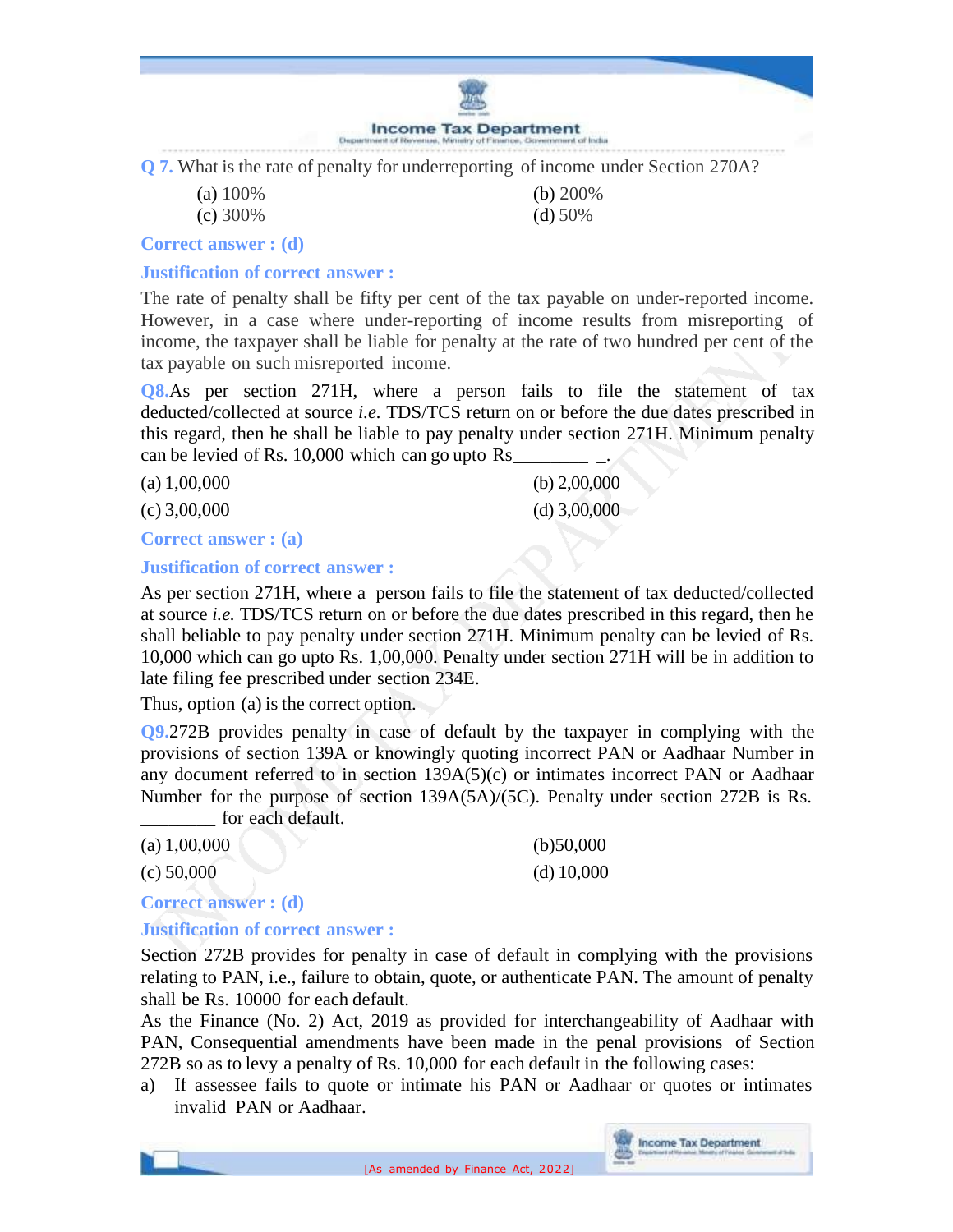

**Q 7.** What is the rate of penalty for underreporting of income under Section 270A?

(a) 100% (b) 200%

(c) 300% (d) 50%

**Correct answer : (d)**

**Justification of correct answer :**

The rate of penalty shall be fifty per cent of the tax payable on under-reported income. However, in a case where under-reporting of income results from misreporting of income, the taxpayer shall be liable for penalty at the rate of two hundred per cent of the tax payable on such misreported income.

**Q8.**As per section 271H, where a person fails to file the statement of tax deducted/collected at source *i.e.* TDS/TCS return on or before the due dates prescribed in this regard, then he shall be liable to pay penalty under section 271H. Minimum penalty can be levied of Rs. 10,000 which can go upto Rs

| (a) 1,00,000   | (b) $2,00,000$ |
|----------------|----------------|
| $(c)$ 3,00,000 | (d) $3,00,000$ |

**Correct answer : (a)**

#### **Justification of correct answer :**

As per section 271H, where a person fails to file the statement of tax deducted/collected at source *i.e.* TDS/TCS return on or before the due dates prescribed in this regard, then he shall beliable to pay penalty under section 271H. Minimum penalty can be levied of Rs. 10,000 which can go upto Rs. 1,00,000. Penalty under section 271H will be in addition to late filing fee prescribed under section 234E.

Thus, option (a) is the correct option.

**Q9.**272B provides penalty in case of default by the taxpayer in complying with the provisions of section 139A or knowingly quoting incorrect PAN or Aadhaar Number in any document referred to in section 139A(5)(c) or intimates incorrect PAN or Aadhaar Number for the purpose of section 139A(5A)/(5C). Penalty under section 272B is Rs. for each default.

| (a) $1,00,000$ | (b)50,000    |
|----------------|--------------|
| (c) 50,000     | (d) $10,000$ |

## **Correct answer : (d)**

#### **Justification of correct answer :**

Section 272B provides for penalty in case of default in complying with the provisions relating to PAN, i.e., failure to obtain, quote, or authenticate PAN. The amount of penalty shall be Rs. 10000 for each default.

As the Finance (No. 2) Act, 2019 as provided for interchangeability of Aadhaar with PAN, Consequential amendments have been made in the penal provisions of Section 272B so as to levy a penalty of Rs. 10,000 for each default in the following cases:

a) If assessee fails to quote or intimate his PAN or Aadhaar or quotes or intimates invalid PAN or Aadhaar.